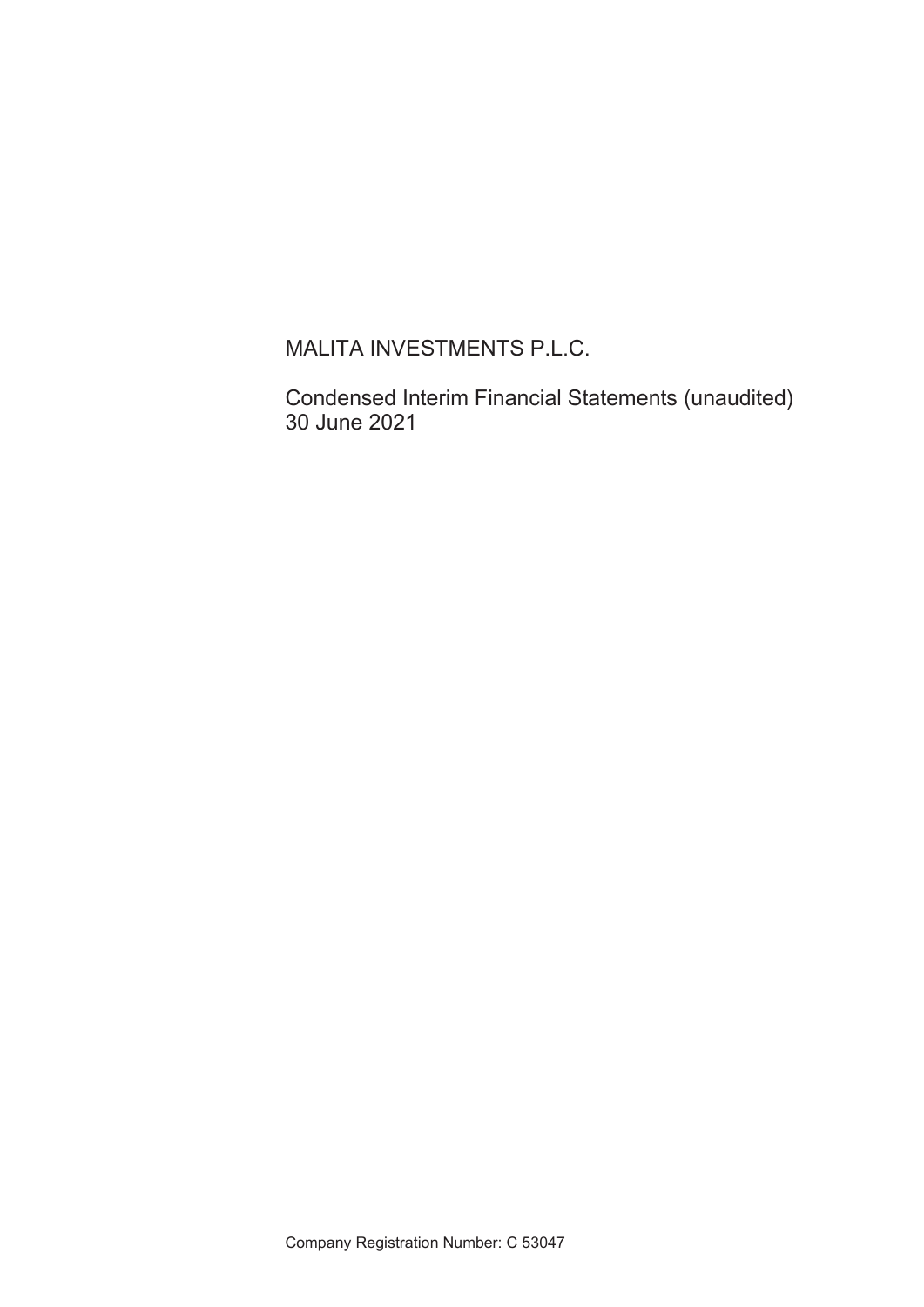MALITA INVESTMENTS P.L.C.

Condensed Interim Financial Statements (unaudited) 30 June 2021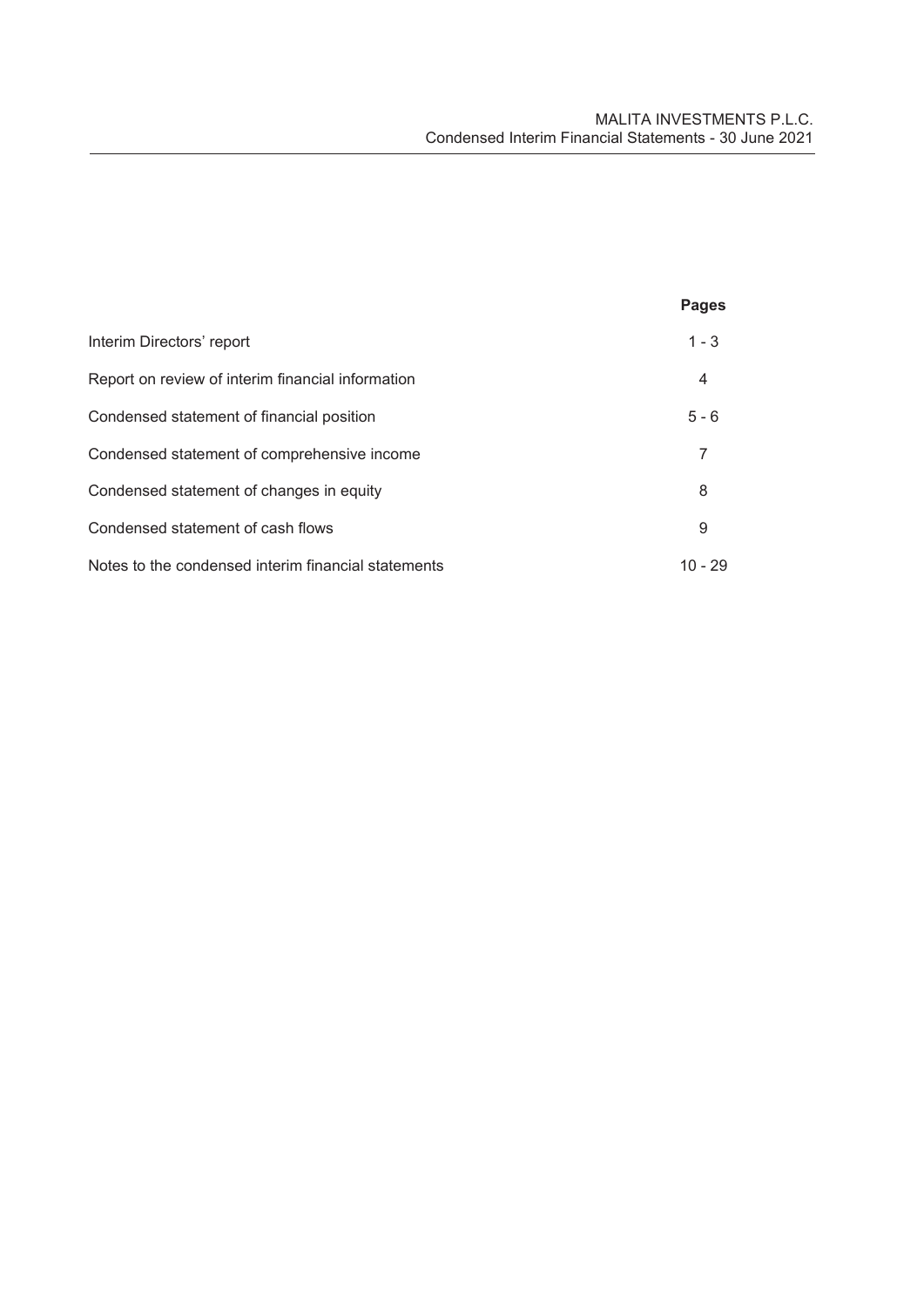|                                                     | <b>Pages</b> |
|-----------------------------------------------------|--------------|
| Interim Directors' report                           | $1 - 3$      |
| Report on review of interim financial information   | 4            |
| Condensed statement of financial position           | $5 - 6$      |
| Condensed statement of comprehensive income         |              |
| Condensed statement of changes in equity            | 8            |
| Condensed statement of cash flows                   | 9            |
| Notes to the condensed interim financial statements | $10 - 29$    |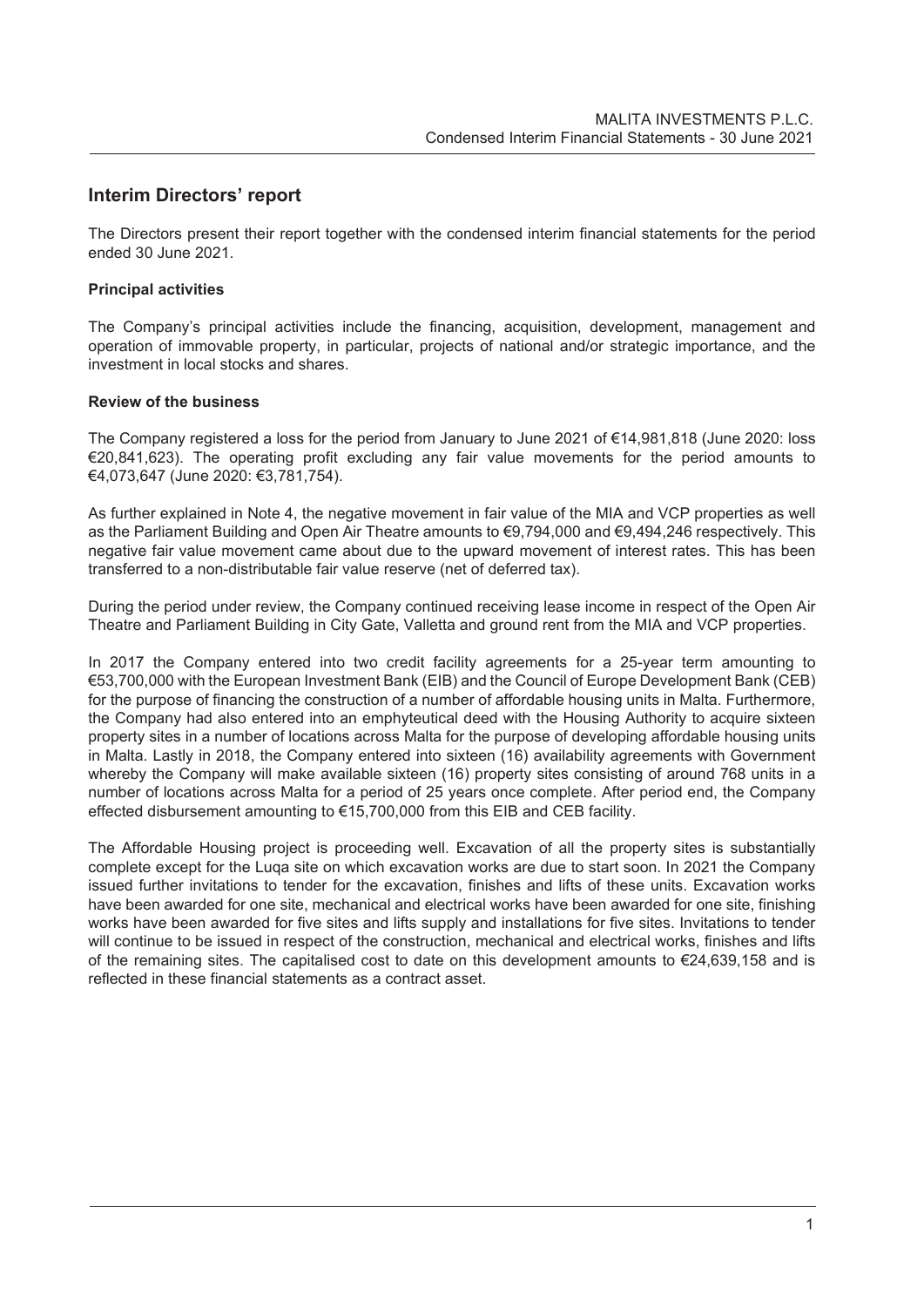# **Interim Directors' report**

The Directors present their report together with the condensed interim financial statements for the period ended 30 June 2021.

# **Principal activities**

The Company's principal activities include the financing, acquisition, development, management and operation of immovable property, in particular, projects of national and/or strategic importance, and the investment in local stocks and shares.

# **Review of the business**

The Company registered a loss for the period from January to June 2021 of €14,981,818 (June 2020: loss €20,841,623). The operating profit excluding any fair value movements for the period amounts to €4,073,647 (June 2020: €3,781,754).

As further explained in Note 4, the negative movement in fair value of the MIA and VCP properties as well as the Parliament Building and Open Air Theatre amounts to €9,794,000 and €9,494,246 respectively. This negative fair value movement came about due to the upward movement of interest rates. This has been transferred to a non-distributable fair value reserve (net of deferred tax).

During the period under review, the Company continued receiving lease income in respect of the Open Air Theatre and Parliament Building in City Gate, Valletta and ground rent from the MIA and VCP properties.

In 2017 the Company entered into two credit facility agreements for a 25-year term amounting to €53,700,000 with the European Investment Bank (EIB) and the Council of Europe Development Bank (CEB) for the purpose of financing the construction of a number of affordable housing units in Malta. Furthermore, the Company had also entered into an emphyteutical deed with the Housing Authority to acquire sixteen property sites in a number of locations across Malta for the purpose of developing affordable housing units in Malta. Lastly in 2018, the Company entered into sixteen (16) availability agreements with Government whereby the Company will make available sixteen (16) property sites consisting of around 768 units in a number of locations across Malta for a period of 25 years once complete. After period end, the Company effected disbursement amounting to €15,700,000 from this EIB and CEB facility.

The Affordable Housing project is proceeding well. Excavation of all the property sites is substantially complete except for the Luqa site on which excavation works are due to start soon. In 2021 the Company issued further invitations to tender for the excavation, finishes and lifts of these units. Excavation works have been awarded for one site, mechanical and electrical works have been awarded for one site, finishing works have been awarded for five sites and lifts supply and installations for five sites. Invitations to tender will continue to be issued in respect of the construction, mechanical and electrical works, finishes and lifts of the remaining sites. The capitalised cost to date on this development amounts to €24,639,158 and is reflected in these financial statements as a contract asset.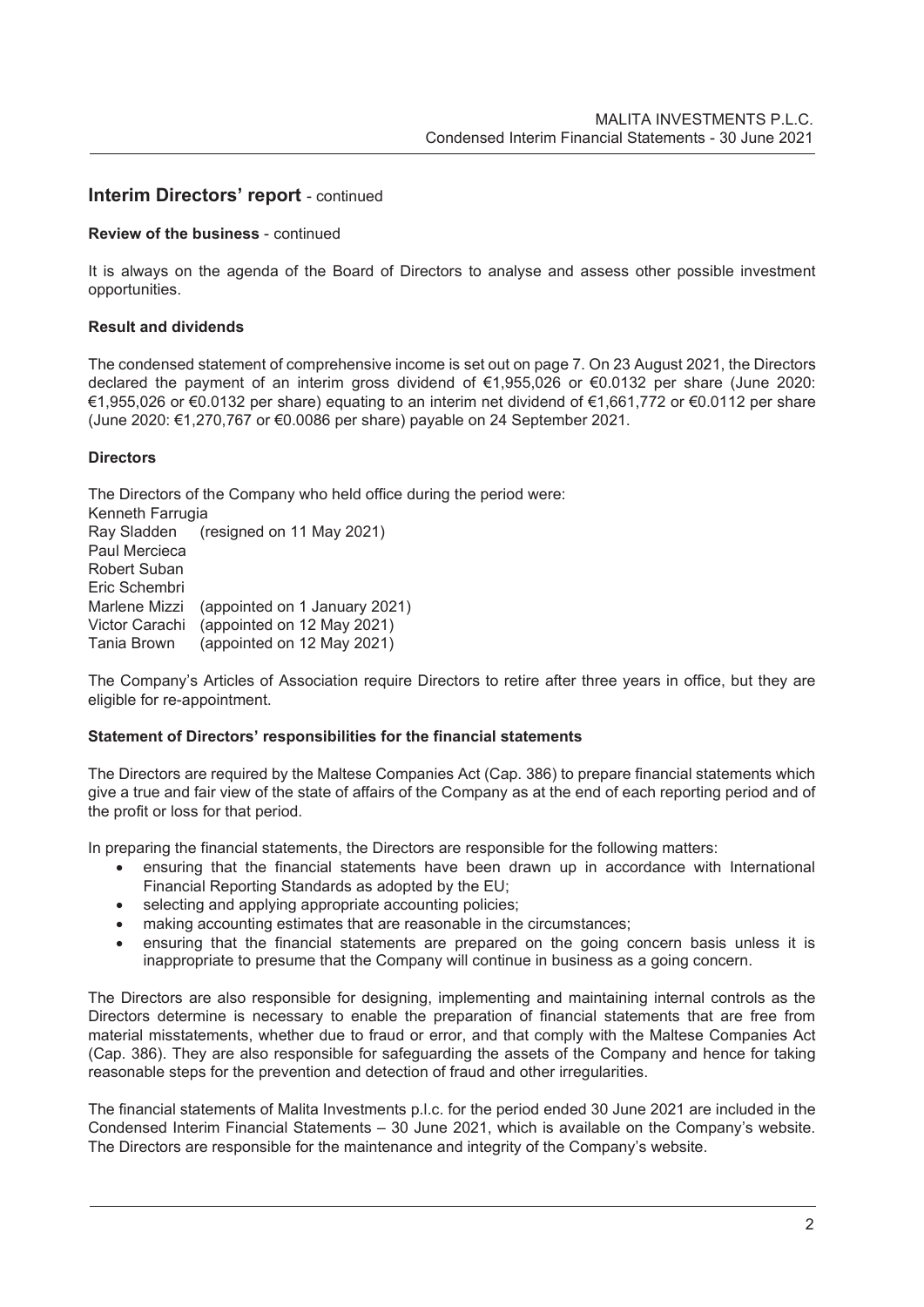# **Interim Directors' report** - continued

# **Review of the business** - continued

It is always on the agenda of the Board of Directors to analyse and assess other possible investment opportunities.

#### **Result and dividends**

The condensed statement of comprehensive income is set out on page 7. On 23 August 2021, the Directors declared the payment of an interim gross dividend of €1,955,026 or €0.0132 per share (June 2020: €1,955,026 or €0.0132 per share) equating to an interim net dividend of €1,661,772 or €0.0112 per share (June 2020: €1,270,767 or €0.0086 per share) payable on 24 September 2021.

#### **Directors**

The Directors of the Company who held office during the period were: Kenneth Farrugia Ray Sladden (resigned on 11 May 2021) Paul Mercieca Robert Suban Eric Schembri Marlene Mizzi (appointed on 1 January 2021) Victor Carachi (appointed on 12 May 2021) Tania Brown (appointed on 12 May 2021)

The Company's Articles of Association require Directors to retire after three years in office, but they are eligible for re-appointment.

#### **Statement of Directors' responsibilities for the financial statements**

The Directors are required by the Maltese Companies Act (Cap. 386) to prepare financial statements which give a true and fair view of the state of affairs of the Company as at the end of each reporting period and of the profit or loss for that period.

In preparing the financial statements, the Directors are responsible for the following matters:

- ensuring that the financial statements have been drawn up in accordance with International Financial Reporting Standards as adopted by the EU;
- selecting and applying appropriate accounting policies;
- making accounting estimates that are reasonable in the circumstances;
- ensuring that the financial statements are prepared on the going concern basis unless it is inappropriate to presume that the Company will continue in business as a going concern.

The Directors are also responsible for designing, implementing and maintaining internal controls as the Directors determine is necessary to enable the preparation of financial statements that are free from material misstatements, whether due to fraud or error, and that comply with the Maltese Companies Act (Cap. 386). They are also responsible for safeguarding the assets of the Company and hence for taking reasonable steps for the prevention and detection of fraud and other irregularities.

The financial statements of Malita Investments p.l.c. for the period ended 30 June 2021 are included in the Condensed Interim Financial Statements – 30 June 2021, which is available on the Company's website. The Directors are responsible for the maintenance and integrity of the Company's website.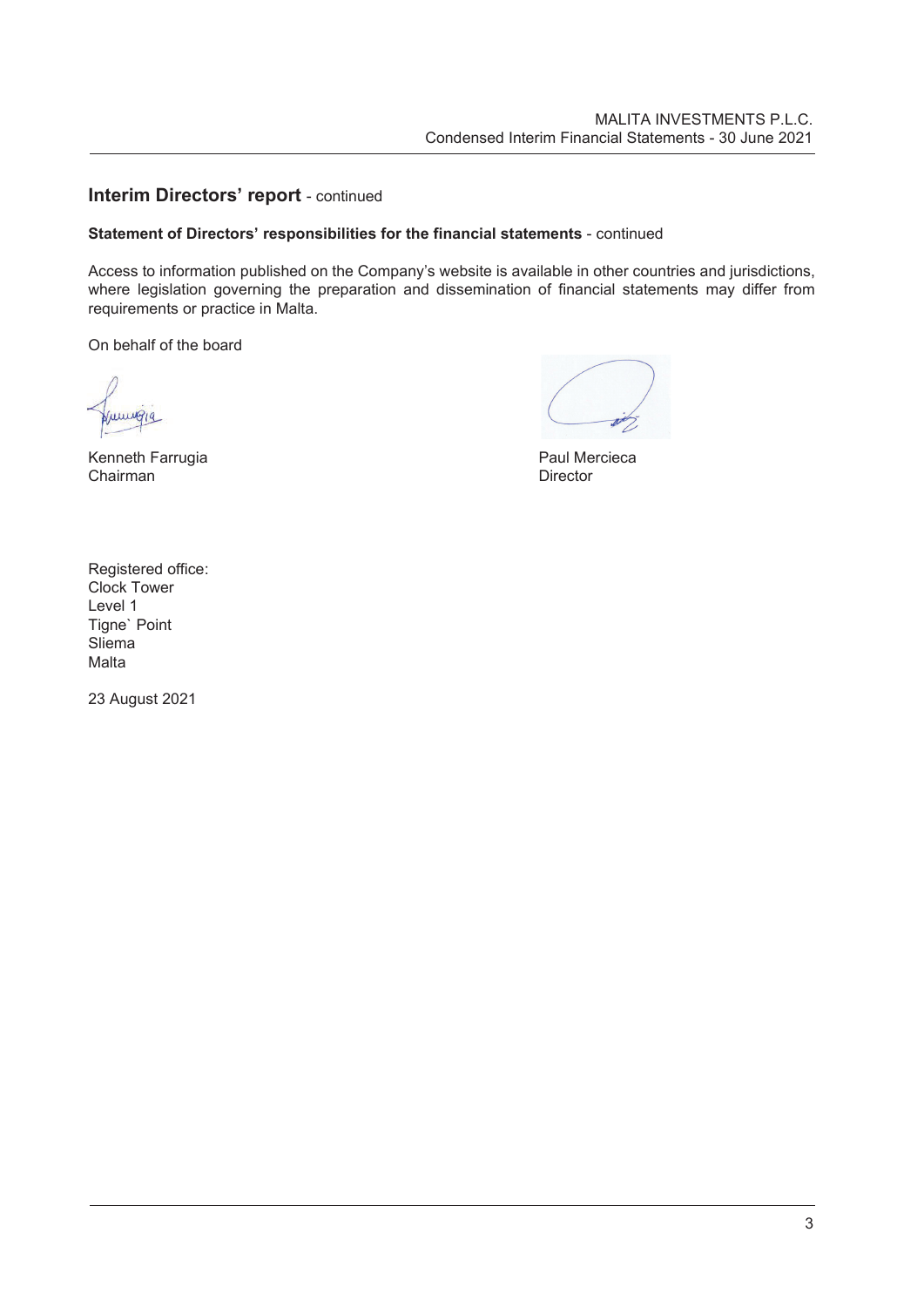# **Interim Directors' report** - continued

# **Statement of Directors' responsibilities for the financial statements** - continued

Access to information published on the Company's website is available in other countries and jurisdictions, where legislation governing the preparation and dissemination of financial statements may differ from requirements or practice in Malta.

On behalf of the board

LULLWAIG

Kenneth Farrugia **Paul Mercieca** Paul Mercieca Chairman Director

Registered office: Clock Tower Level 1 Tigne` Point Sliema Malta

23 August 2021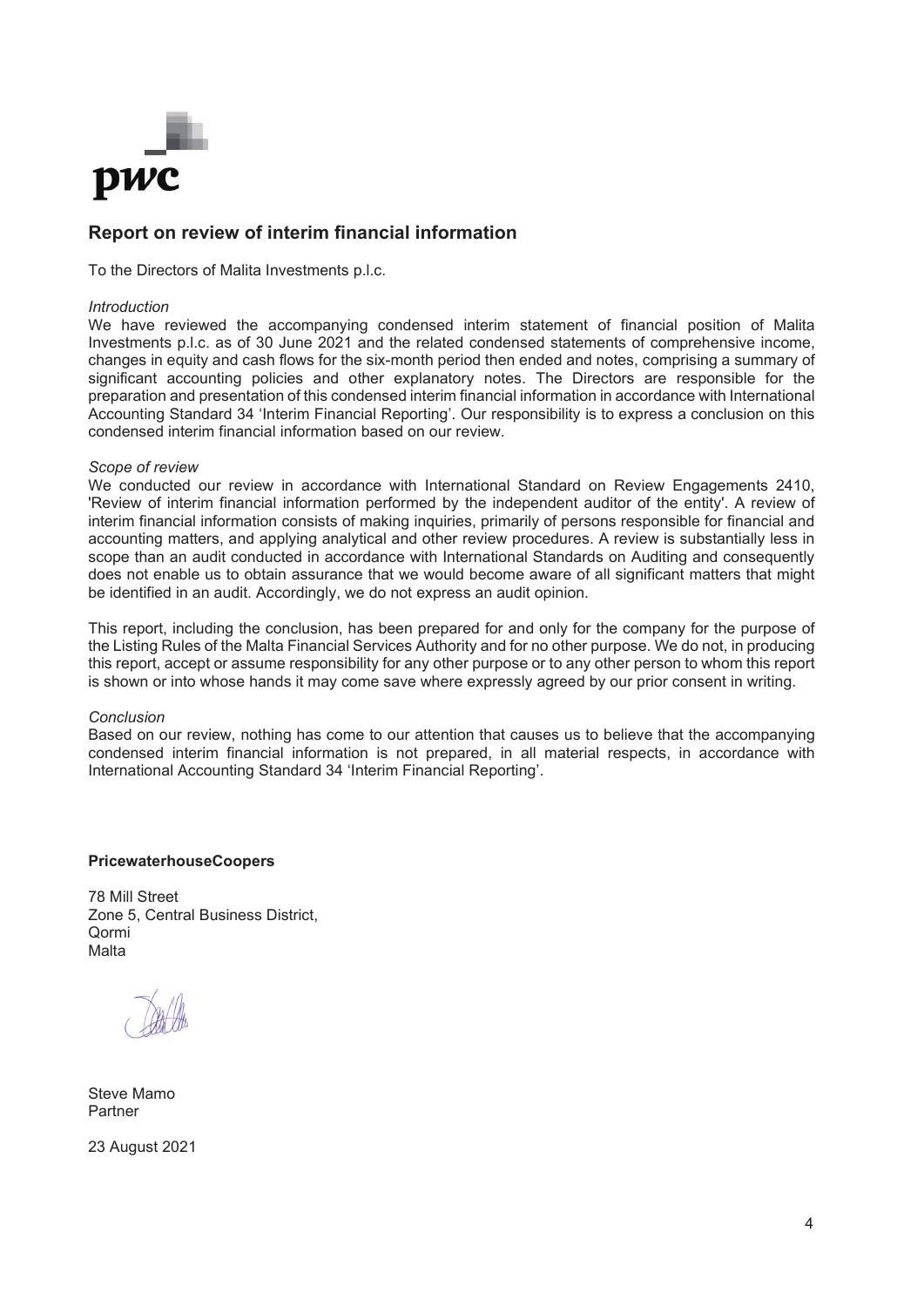

# **Report on review of interim financial information**

To the Directors of Malita Investments p.l.c.

#### *Introduction*

We have reviewed the accompanying condensed interim statement of financial position of Malita Investments p.l.c. as of 30 June 2021 and the related condensed statements of comprehensive income, changes in equity and cash flows for the six-month period then ended and notes, comprising a summary of significant accounting policies and other explanatory notes. The Directors are responsible for the preparation and presentation of this condensed interim financial information in accordance with International Accounting Standard 34 'Interim Financial Reporting'. Our responsibility is to express a conclusion on this condensed interim financial information based on our review.

#### *Scope of review*

We conducted our review in accordance with International Standard on Review Engagements 2410, 'Review of interim financial information performed by the independent auditor of the entity'. A review of interim financial information consists of making inquiries, primarily of persons responsible for financial and accounting matters, and applying analytical and other review procedures. A review is substantially less in scope than an audit conducted in accordance with International Standards on Auditing and consequently does not enable us to obtain assurance that we would become aware of all significant matters that might be identified in an audit. Accordingly, we do not express an audit opinion.

This report, including the conclusion, has been prepared for and only for the company for the purpose of the Listing Rules of the Malta Financial Services Authority and for no other purpose. We do not, in producing this report, accept or assume responsibility for any other purpose or to any other person to whom this report is shown or into whose hands it may come save where expressly agreed by our prior consent in writing.

#### *Conclusion*

Based on our review, nothing has come to our attention that causes us to believe that the accompanying condensed interim financial information is not prepared, in all material respects, in accordance with International Accounting Standard 34 'Interim Financial Reporting'.

#### **PricewaterhouseCoopers**

78 Mill Street Zone 5, Central Business District, Qormi Malta

Steve Mamo Partner

23 August 2021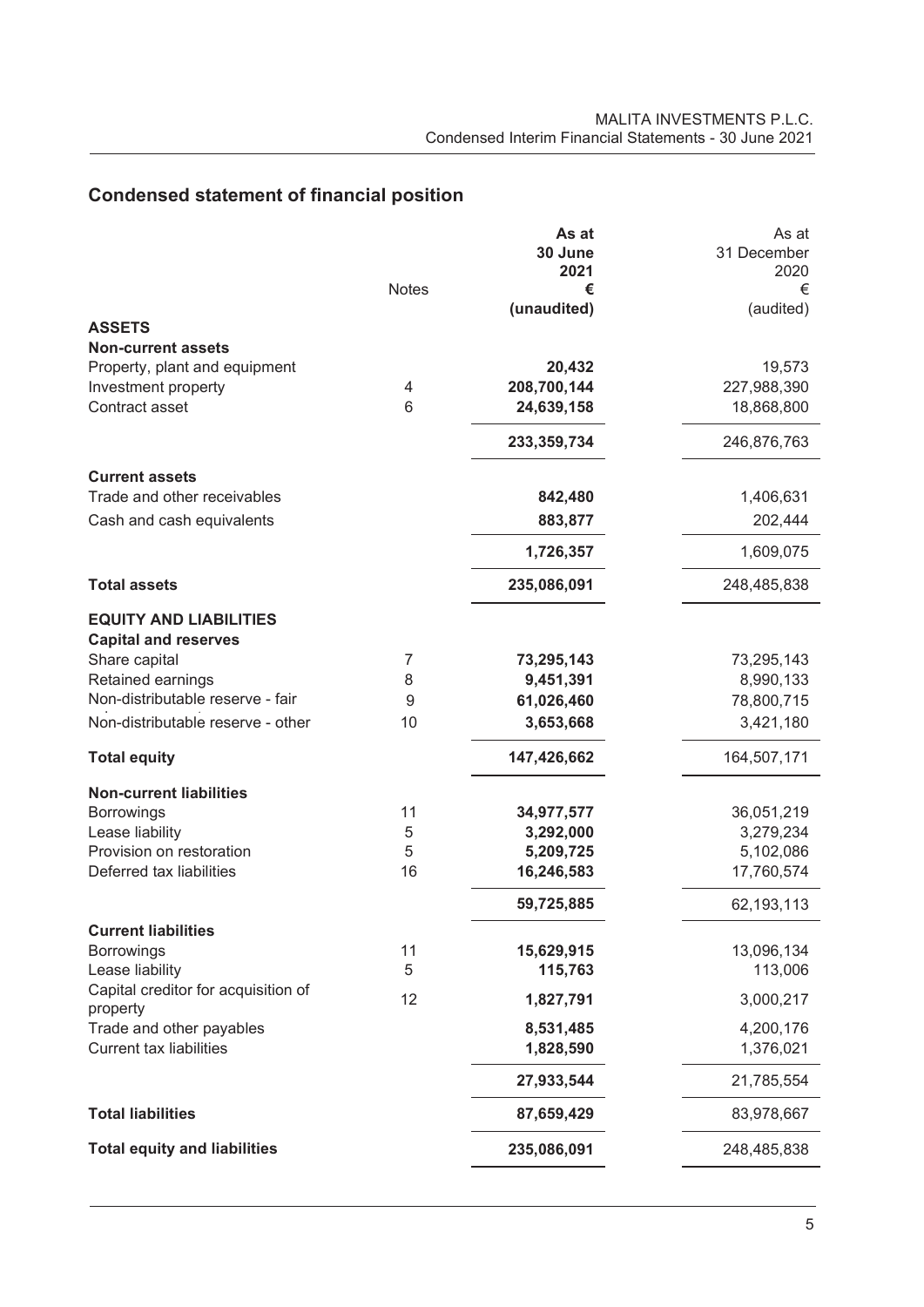# **Condensed statement of financial position**

|                                                       | As at         | As at       |
|-------------------------------------------------------|---------------|-------------|
|                                                       | 30 June       | 31 December |
| <b>Notes</b>                                          | 2021<br>€     | 2020<br>€   |
|                                                       | (unaudited)   | (audited)   |
| <b>ASSETS</b>                                         |               |             |
| <b>Non-current assets</b>                             |               |             |
| Property, plant and equipment                         | 20,432        | 19,573      |
| Investment property<br>4                              | 208,700,144   | 227,988,390 |
| Contract asset<br>6                                   | 24,639,158    | 18,868,800  |
|                                                       | 233, 359, 734 | 246,876,763 |
| <b>Current assets</b>                                 |               |             |
| Trade and other receivables                           | 842,480       | 1,406,631   |
| Cash and cash equivalents                             | 883,877       | 202,444     |
|                                                       | 1,726,357     | 1,609,075   |
| <b>Total assets</b>                                   | 235,086,091   | 248,485,838 |
| <b>EQUITY AND LIABILITIES</b>                         |               |             |
| <b>Capital and reserves</b>                           |               |             |
| Share capital<br>7                                    | 73,295,143    | 73,295,143  |
| Retained earnings<br>8                                | 9,451,391     | 8,990,133   |
| Non-distributable reserve - fair<br>9                 | 61,026,460    | 78,800,715  |
| Non-distributable reserve - other<br>10               | 3,653,668     | 3,421,180   |
| <b>Total equity</b>                                   | 147,426,662   | 164,507,171 |
| <b>Non-current liabilities</b>                        |               |             |
| <b>Borrowings</b><br>11                               | 34,977,577    | 36,051,219  |
| Lease liability<br>5                                  | 3,292,000     | 3,279,234   |
| Provision on restoration<br>5                         | 5,209,725     | 5,102,086   |
| Deferred tax liabilities<br>16                        | 16,246,583    | 17,760,574  |
|                                                       | 59,725,885    | 62,193,113  |
| <b>Current liabilities</b>                            |               |             |
| 11<br><b>Borrowings</b>                               | 15,629,915    | 13,096,134  |
| Lease liability<br>5                                  | 115,763       | 113,006     |
| Capital creditor for acquisition of<br>12<br>property | 1,827,791     | 3,000,217   |
| Trade and other payables                              | 8,531,485     | 4,200,176   |
| <b>Current tax liabilities</b>                        | 1,828,590     | 1,376,021   |
|                                                       | 27,933,544    | 21,785,554  |
| <b>Total liabilities</b>                              | 87,659,429    | 83,978,667  |
| <b>Total equity and liabilities</b>                   | 235,086,091   | 248,485,838 |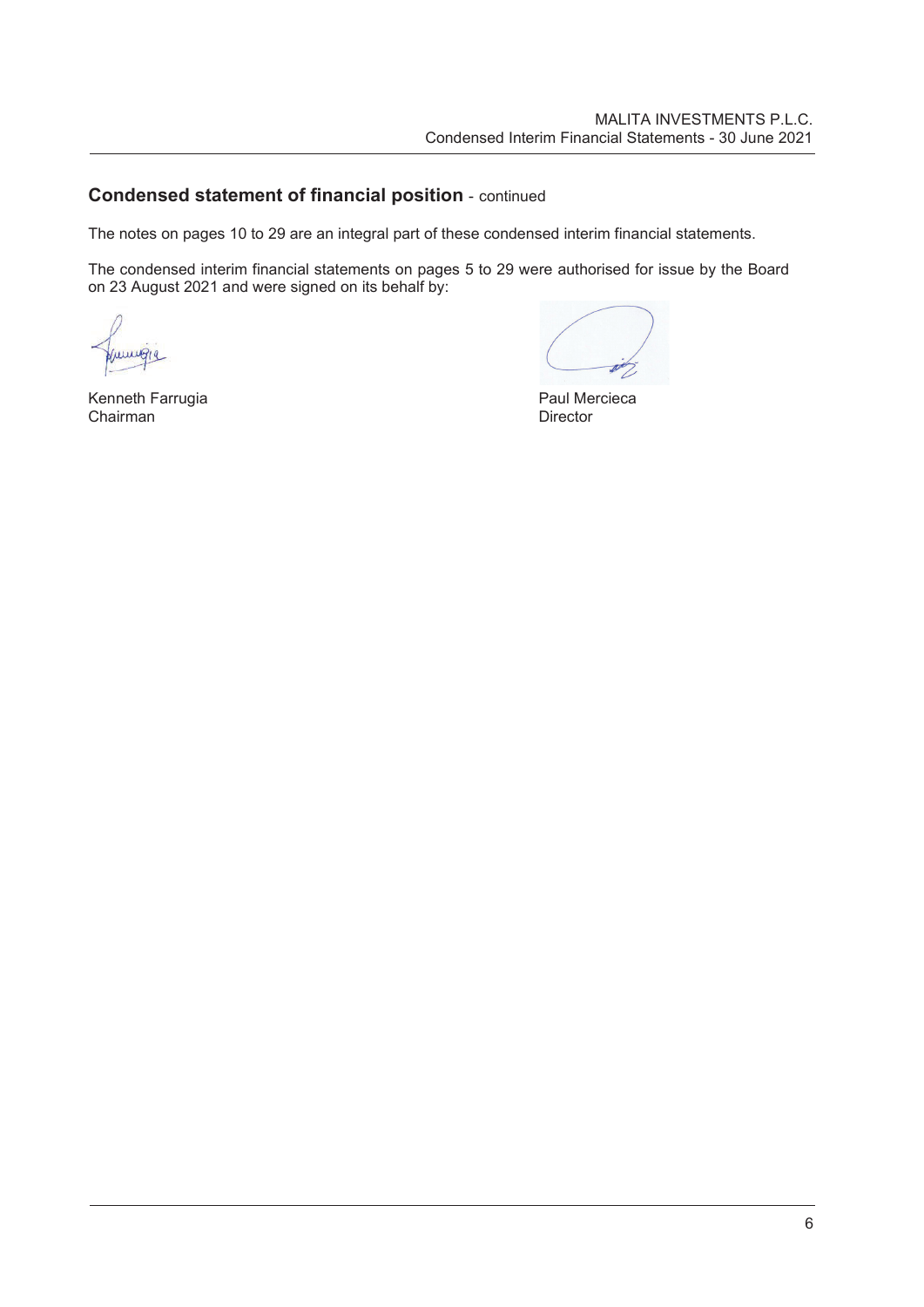# **Condensed statement of financial position** - continued

The notes on pages 10 to 29 are an integral part of these condensed interim financial statements.

The condensed interim financial statements on pages 5 to 29 were authorised for issue by the Board on 23 August 2021 and were signed on its behalf by:

wwg

Kenneth Farrugia **Execute Server Constructs Chairman**<br>Chairman **Paul Mercieca** Chairman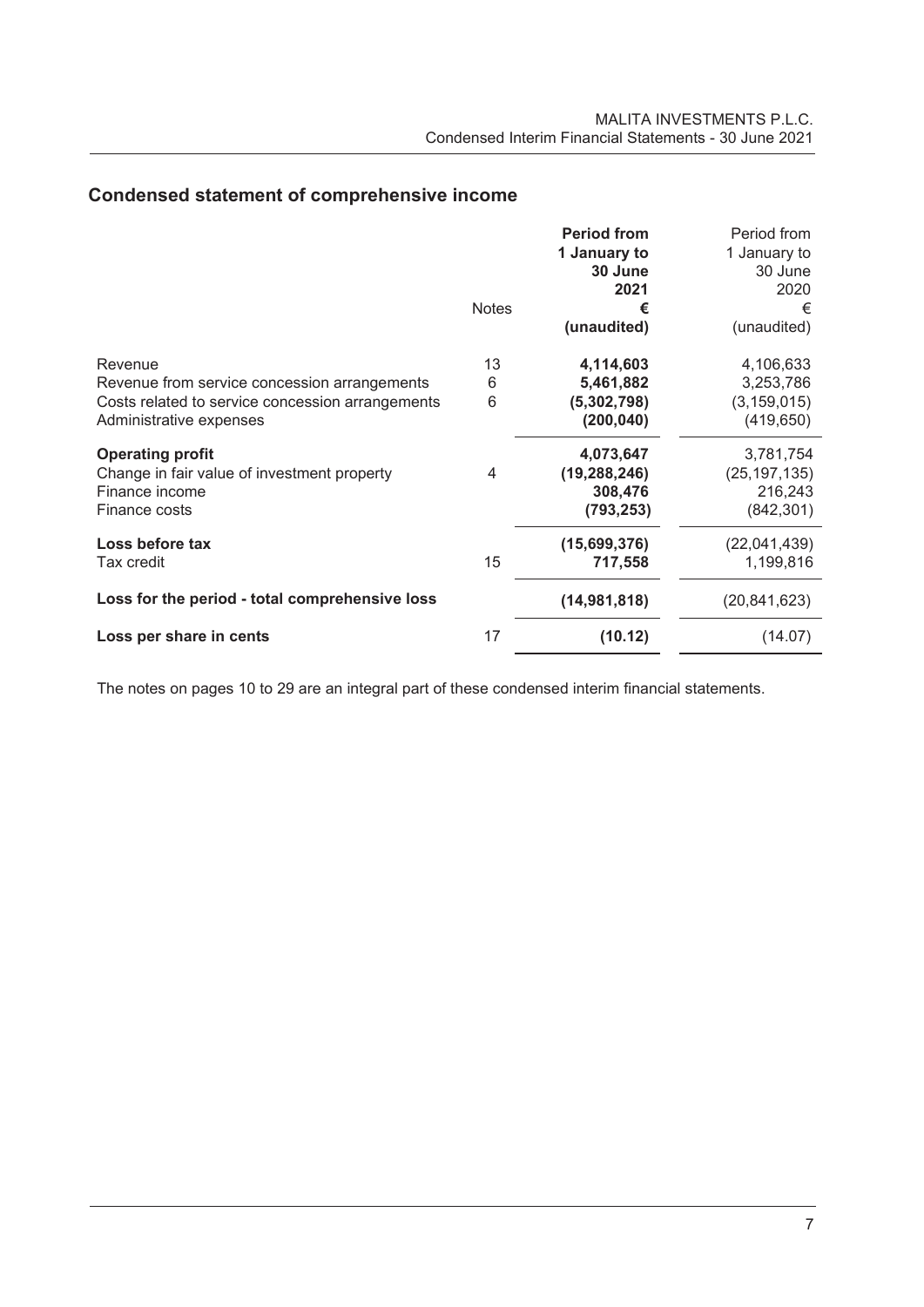# **Condensed statement of comprehensive income**

| 1 January to<br>30 June                                              | 1 January to<br>30 June |
|----------------------------------------------------------------------|-------------------------|
| 2021                                                                 | 2020                    |
| <b>Notes</b><br>€                                                    | €                       |
| (unaudited)                                                          | (unaudited)             |
| 13<br>4,114,603<br>Revenue                                           | 4,106,633               |
| 5,461,882<br>Revenue from service concession arrangements<br>6       | 3,253,786               |
| 6<br>Costs related to service concession arrangements<br>(5,302,798) | (3, 159, 015)           |
| (200, 040)<br>Administrative expenses                                | (419, 650)              |
| <b>Operating profit</b><br>4,073,647                                 | 3,781,754               |
| Change in fair value of investment property<br>(19, 288, 246)<br>4   | (25, 197, 135)          |
| Finance income<br>308,476                                            | 216,243                 |
| Finance costs<br>(793, 253)                                          | (842, 301)              |
| Loss before tax<br>(15,699,376)                                      | (22,041,439)            |
| 15<br>Tax credit<br>717,558                                          | 1,199,816               |
| Loss for the period - total comprehensive loss<br>(14, 981, 818)     | (20, 841, 623)          |
| 17<br>(10.12)<br>Loss per share in cents                             | (14.07)                 |

The notes on pages 10 to 29 are an integral part of these condensed interim financial statements.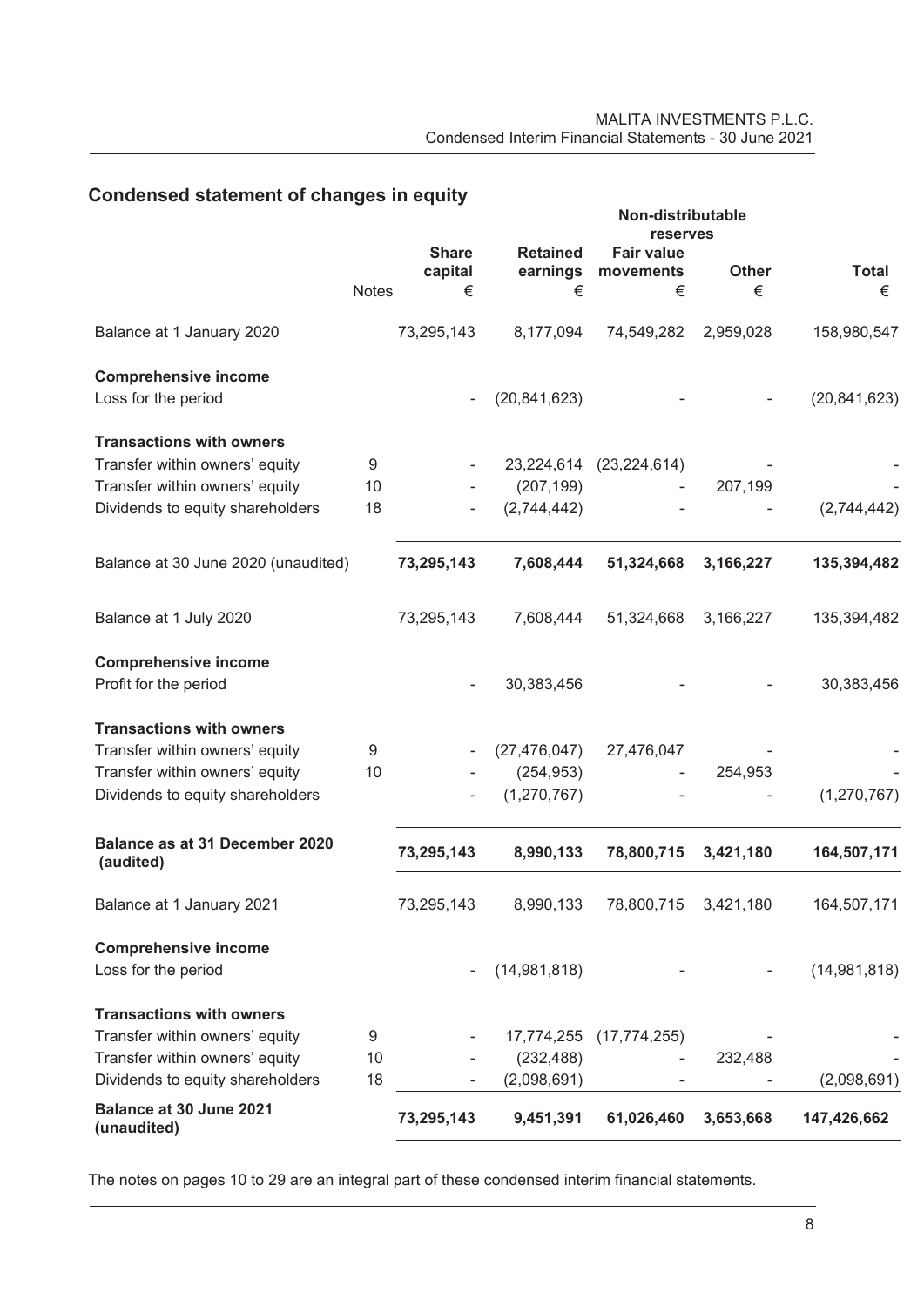# **Condensed statement of changes in equity**

|                                        |              | Non-distributable<br><b>reserves</b> |                             |                                |              |                |
|----------------------------------------|--------------|--------------------------------------|-----------------------------|--------------------------------|--------------|----------------|
|                                        |              | <b>Share</b><br>capital              | <b>Retained</b><br>earnings | <b>Fair value</b><br>movements | <b>Other</b> | <b>Total</b>   |
|                                        | <b>Notes</b> | €                                    | €                           | €                              | €            | €              |
| Balance at 1 January 2020              |              | 73,295,143                           | 8,177,094                   | 74,549,282                     | 2,959,028    | 158,980,547    |
| <b>Comprehensive income</b>            |              |                                      |                             |                                |              |                |
| Loss for the period                    |              |                                      | (20, 841, 623)              |                                |              | (20, 841, 623) |
| <b>Transactions with owners</b>        |              |                                      |                             |                                |              |                |
| Transfer within owners' equity         | 9            |                                      | 23,224,614                  | (23, 224, 614)                 |              |                |
| Transfer within owners' equity         | 10           |                                      | (207, 199)                  |                                | 207,199      |                |
| Dividends to equity shareholders       | 18           |                                      | (2,744,442)                 |                                |              | (2,744,442)    |
| Balance at 30 June 2020 (unaudited)    |              | 73,295,143                           | 7,608,444                   | 51,324,668                     | 3,166,227    | 135,394,482    |
|                                        |              |                                      |                             |                                |              |                |
| Balance at 1 July 2020                 |              | 73,295,143                           | 7,608,444                   | 51,324,668                     | 3,166,227    | 135,394,482    |
| <b>Comprehensive income</b>            |              |                                      |                             |                                |              |                |
| Profit for the period                  |              |                                      | 30,383,456                  |                                |              | 30,383,456     |
| <b>Transactions with owners</b>        |              |                                      |                             |                                |              |                |
| Transfer within owners' equity         | 9            |                                      | (27, 476, 047)              | 27,476,047                     |              |                |
| Transfer within owners' equity         | 10           |                                      | (254, 953)                  |                                | 254,953      |                |
| Dividends to equity shareholders       |              |                                      | (1,270,767)                 |                                |              | (1,270,767)    |
| Balance as at 31 December 2020         |              | 73,295,143                           | 8,990,133                   | 78,800,715                     | 3,421,180    | 164,507,171    |
| (audited)                              |              |                                      |                             |                                |              |                |
| Balance at 1 January 2021              |              | 73,295,143                           | 8,990,133                   | 78,800,715                     | 3,421,180    | 164,507,171    |
| <b>Comprehensive income</b>            |              |                                      |                             |                                |              |                |
| Loss for the period                    |              |                                      | (14,981,818)                |                                |              | (14,981,818)   |
| <b>Transactions with owners</b>        |              |                                      |                             |                                |              |                |
| Transfer within owners' equity         | 9            |                                      | 17,774,255                  | (17, 774, 255)                 |              |                |
| Transfer within owners' equity         | 10           |                                      | (232, 488)                  |                                | 232,488      |                |
| Dividends to equity shareholders       | 18           |                                      | (2,098,691)                 |                                |              | (2,098,691)    |
| Balance at 30 June 2021<br>(unaudited) |              | 73,295,143                           | 9,451,391                   | 61,026,460                     | 3,653,668    | 147,426,662    |

The notes on pages 10 to 29 are an integral part of these condensed interim financial statements.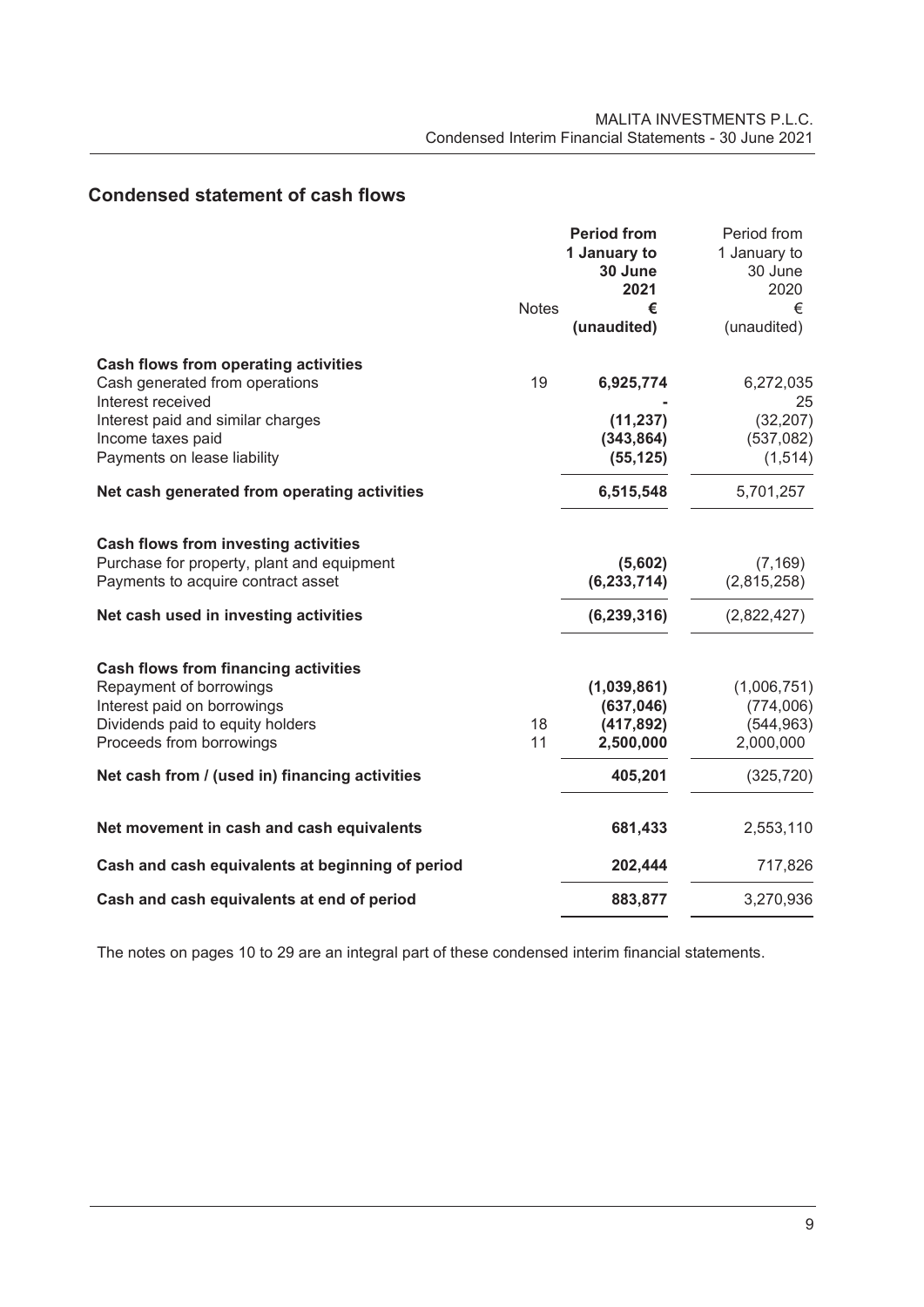|  | <b>Condensed statement of cash flows</b> |  |
|--|------------------------------------------|--|
|--|------------------------------------------|--|

|                                                     |              | <b>Period from</b><br>1 January to | Period from<br>1 January to |
|-----------------------------------------------------|--------------|------------------------------------|-----------------------------|
|                                                     |              | 30 June                            | 30 June                     |
|                                                     |              | 2021                               | 2020                        |
|                                                     | <b>Notes</b> | €<br>(unaudited)                   | €<br>(unaudited)            |
| Cash flows from operating activities                |              |                                    |                             |
| Cash generated from operations<br>Interest received | 19           | 6,925,774                          | 6,272,035<br>25             |
| Interest paid and similar charges                   |              | (11, 237)                          | (32, 207)                   |
| Income taxes paid                                   |              | (343, 864)                         | (537,082)                   |
| Payments on lease liability                         |              | (55, 125)                          | (1, 514)                    |
| Net cash generated from operating activities        |              | 6,515,548                          | 5,701,257                   |
| <b>Cash flows from investing activities</b>         |              |                                    |                             |
| Purchase for property, plant and equipment          |              | (5,602)                            | (7, 169)                    |
| Payments to acquire contract asset                  |              | (6, 233, 714)                      | (2,815,258)                 |
| Net cash used in investing activities               |              | (6, 239, 316)                      | (2,822,427)                 |
| <b>Cash flows from financing activities</b>         |              |                                    |                             |
| Repayment of borrowings                             |              | (1,039,861)                        | (1,006,751)                 |
| Interest paid on borrowings                         |              | (637, 046)                         | (774,006)                   |
| Dividends paid to equity holders                    | 18           | (417, 892)                         | (544, 963)                  |
| Proceeds from borrowings                            | 11           | 2,500,000                          | 2,000,000                   |
| Net cash from / (used in) financing activities      |              | 405,201                            | (325, 720)                  |
| Net movement in cash and cash equivalents           |              | 681,433                            | 2,553,110                   |
| Cash and cash equivalents at beginning of period    |              | 202,444                            | 717,826                     |
| Cash and cash equivalents at end of period          |              | 883,877                            | 3,270,936                   |

The notes on pages 10 to 29 are an integral part of these condensed interim financial statements.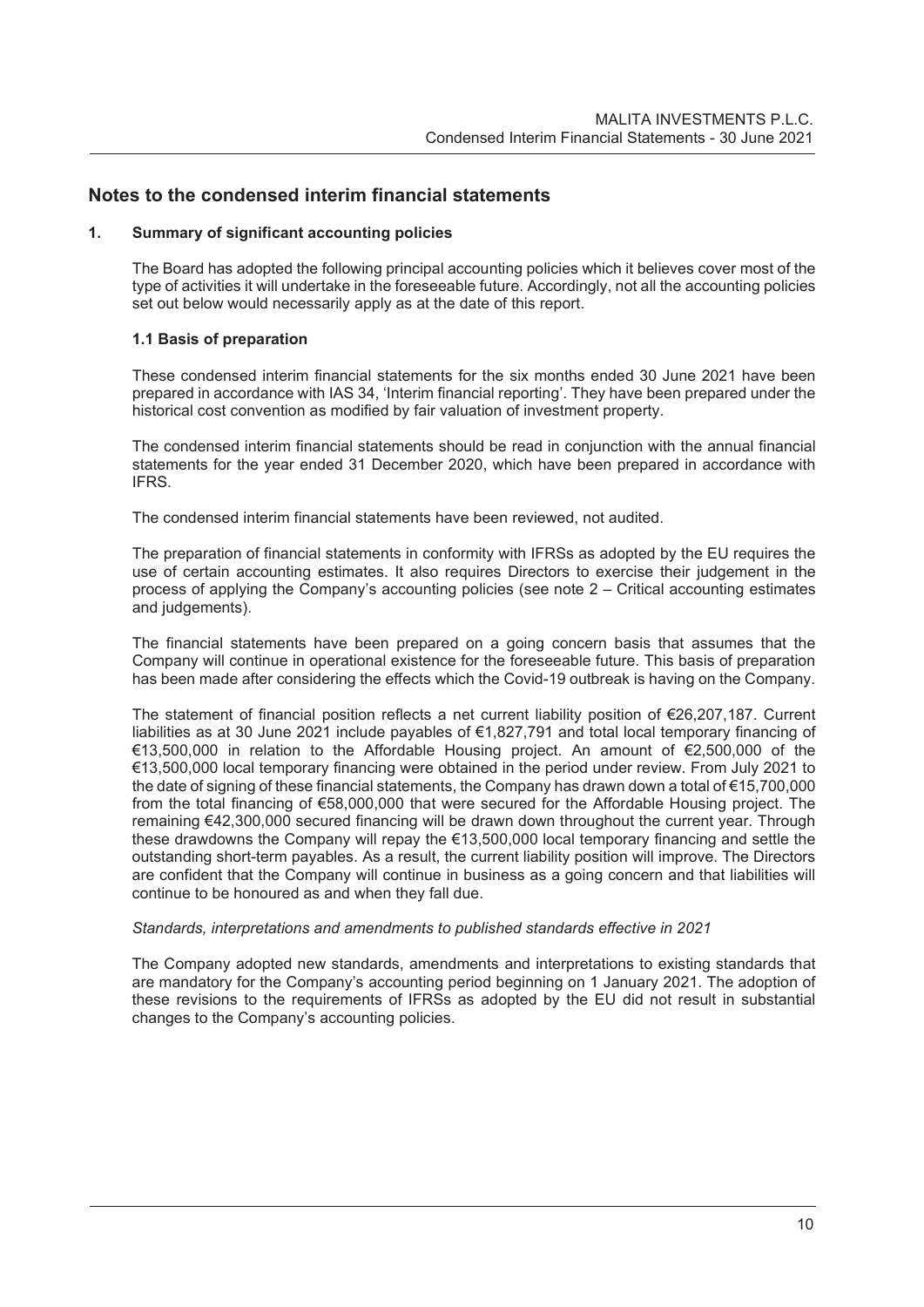# **Notes to the condensed interim financial statements**

# **1. Summary of significant accounting policies**

The Board has adopted the following principal accounting policies which it believes cover most of the type of activities it will undertake in the foreseeable future. Accordingly, not all the accounting policies set out below would necessarily apply as at the date of this report.

# **1.1 Basis of preparation**

These condensed interim financial statements for the six months ended 30 June 2021 have been prepared in accordance with IAS 34, 'Interim financial reporting'. They have been prepared under the historical cost convention as modified by fair valuation of investment property.

The condensed interim financial statements should be read in conjunction with the annual financial statements for the year ended 31 December 2020, which have been prepared in accordance with IFRS.

The condensed interim financial statements have been reviewed, not audited.

The preparation of financial statements in conformity with IFRSs as adopted by the EU requires the use of certain accounting estimates. It also requires Directors to exercise their judgement in the process of applying the Company's accounting policies (see note 2 – Critical accounting estimates and judgements).

The financial statements have been prepared on a going concern basis that assumes that the Company will continue in operational existence for the foreseeable future. This basis of preparation has been made after considering the effects which the Covid-19 outbreak is having on the Company.

The statement of financial position reflects a net current liability position of €26,207,187. Current liabilities as at 30 June 2021 include payables of €1,827,791 and total local temporary financing of €13,500,000 in relation to the Affordable Housing project. An amount of €2,500,000 of the €13,500,000 local temporary financing were obtained in the period under review. From July 2021 to the date of signing of these financial statements, the Company has drawn down a total of €15,700,000 from the total financing of €58,000,000 that were secured for the Affordable Housing project. The remaining €42,300,000 secured financing will be drawn down throughout the current year. Through these drawdowns the Company will repay the €13,500,000 local temporary financing and settle the outstanding short-term payables. As a result, the current liability position will improve. The Directors are confident that the Company will continue in business as a going concern and that liabilities will continue to be honoured as and when they fall due.

#### *Standards, interpretations and amendments to published standards effective in 2021*

The Company adopted new standards, amendments and interpretations to existing standards that are mandatory for the Company's accounting period beginning on 1 January 2021. The adoption of these revisions to the requirements of IFRSs as adopted by the EU did not result in substantial changes to the Company's accounting policies.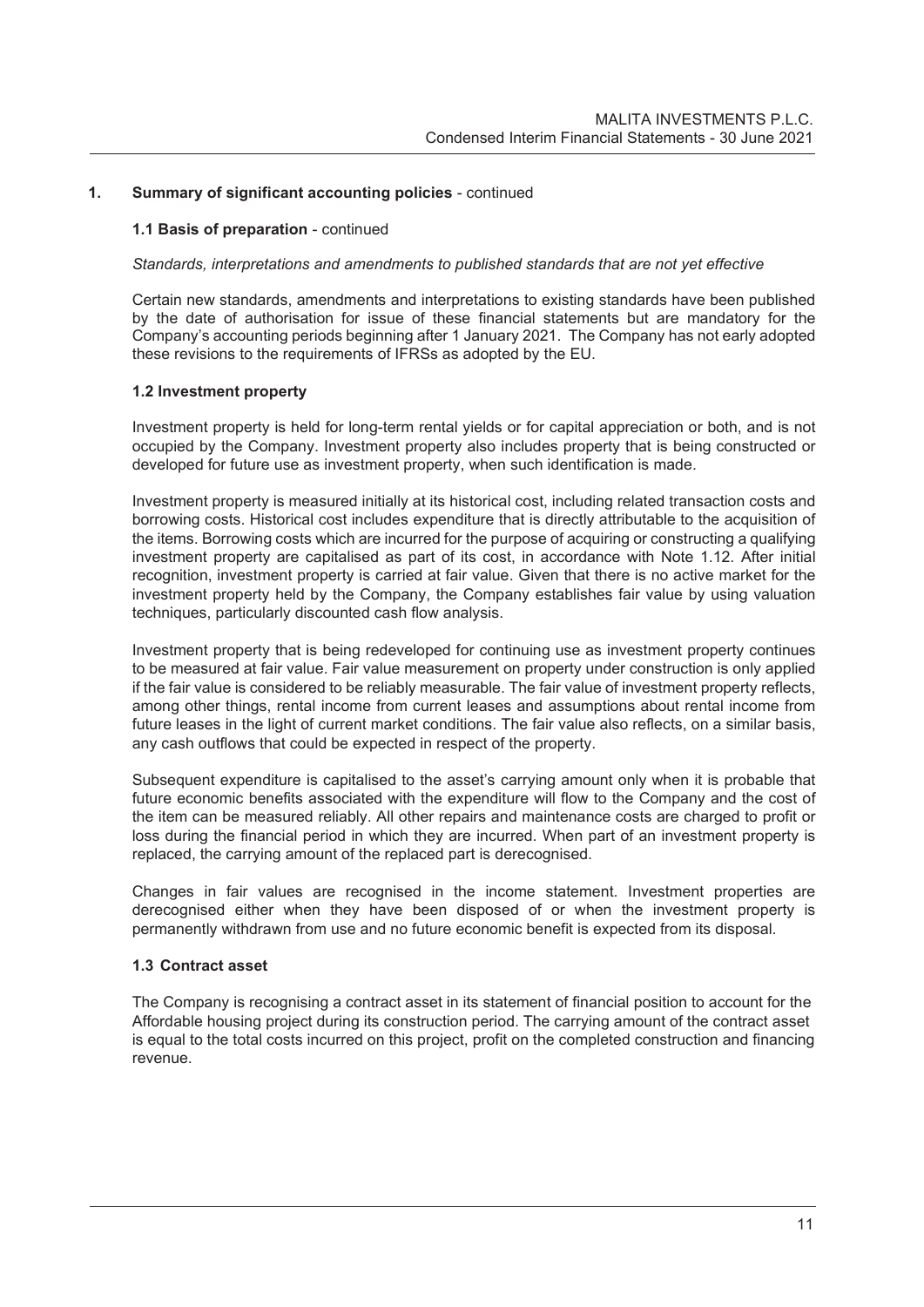# **1.1 Basis of preparation** - continued

#### *Standards, interpretations and amendments to published standards that are not yet effective*

Certain new standards, amendments and interpretations to existing standards have been published by the date of authorisation for issue of these financial statements but are mandatory for the Company's accounting periods beginning after 1 January 2021. The Company has not early adopted these revisions to the requirements of IFRSs as adopted by the EU.

#### **1.2 Investment property**

Investment property is held for long-term rental yields or for capital appreciation or both, and is not occupied by the Company. Investment property also includes property that is being constructed or developed for future use as investment property, when such identification is made.

Investment property is measured initially at its historical cost, including related transaction costs and borrowing costs. Historical cost includes expenditure that is directly attributable to the acquisition of the items. Borrowing costs which are incurred for the purpose of acquiring or constructing a qualifying investment property are capitalised as part of its cost, in accordance with Note 1.12. After initial recognition, investment property is carried at fair value. Given that there is no active market for the investment property held by the Company, the Company establishes fair value by using valuation techniques, particularly discounted cash flow analysis.

Investment property that is being redeveloped for continuing use as investment property continues to be measured at fair value. Fair value measurement on property under construction is only applied if the fair value is considered to be reliably measurable. The fair value of investment property reflects, among other things, rental income from current leases and assumptions about rental income from future leases in the light of current market conditions. The fair value also reflects, on a similar basis, any cash outflows that could be expected in respect of the property.

Subsequent expenditure is capitalised to the asset's carrying amount only when it is probable that future economic benefits associated with the expenditure will flow to the Company and the cost of the item can be measured reliably. All other repairs and maintenance costs are charged to profit or loss during the financial period in which they are incurred. When part of an investment property is replaced, the carrying amount of the replaced part is derecognised.

Changes in fair values are recognised in the income statement. Investment properties are derecognised either when they have been disposed of or when the investment property is permanently withdrawn from use and no future economic benefit is expected from its disposal.

# **1.3 Contract asset**

The Company is recognising a contract asset in its statement of financial position to account for the Affordable housing project during its construction period. The carrying amount of the contract asset is equal to the total costs incurred on this project, profit on the completed construction and financing revenue.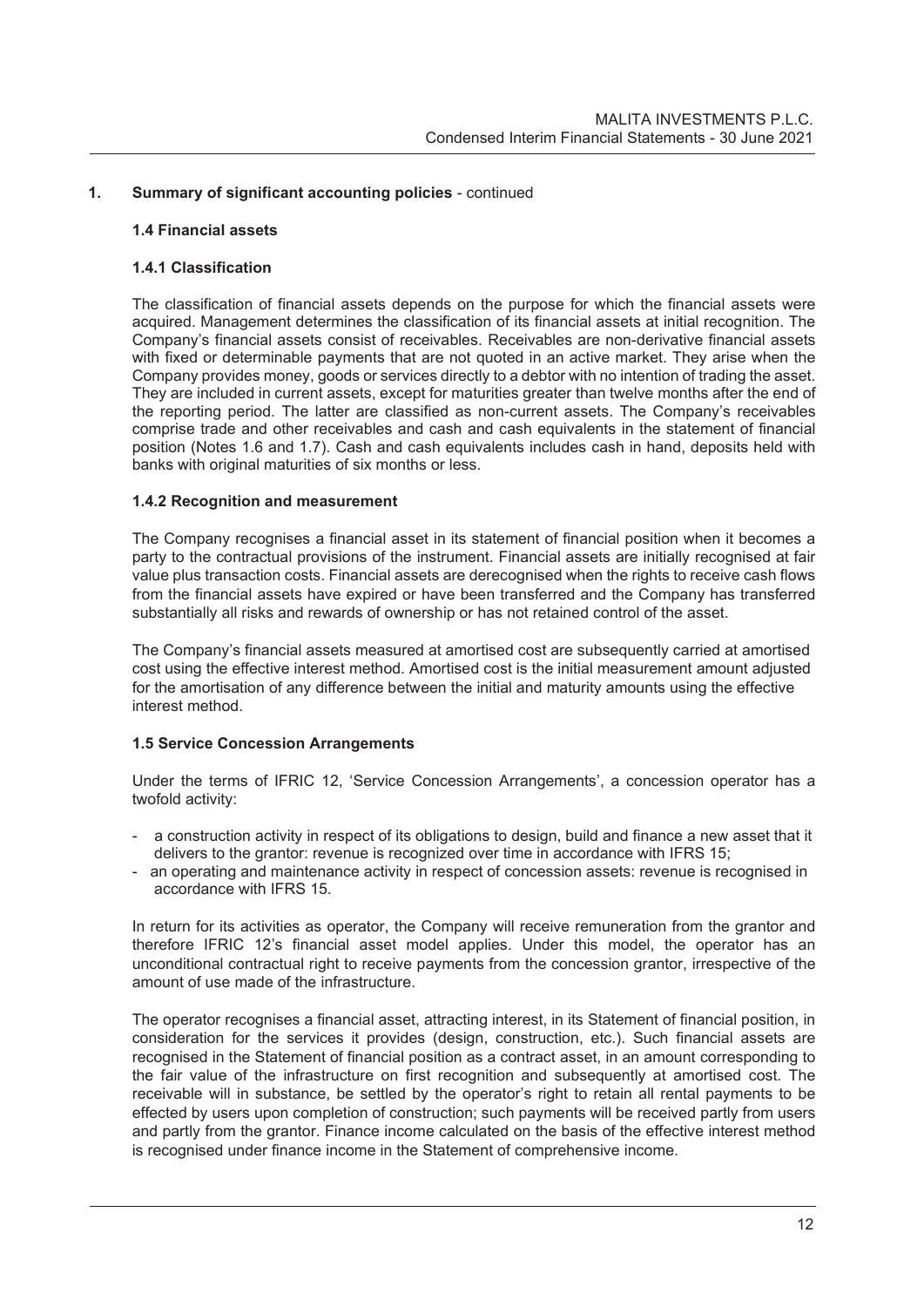#### **1.4 Financial assets**

#### **1.4.1 Classification**

The classification of financial assets depends on the purpose for which the financial assets were acquired. Management determines the classification of its financial assets at initial recognition. The Company's financial assets consist of receivables. Receivables are non-derivative financial assets with fixed or determinable payments that are not quoted in an active market. They arise when the Company provides money, goods or services directly to a debtor with no intention of trading the asset. They are included in current assets, except for maturities greater than twelve months after the end of the reporting period. The latter are classified as non-current assets. The Company's receivables comprise trade and other receivables and cash and cash equivalents in the statement of financial position (Notes 1.6 and 1.7). Cash and cash equivalents includes cash in hand, deposits held with banks with original maturities of six months or less.

#### **1.4.2 Recognition and measurement**

The Company recognises a financial asset in its statement of financial position when it becomes a party to the contractual provisions of the instrument. Financial assets are initially recognised at fair value plus transaction costs. Financial assets are derecognised when the rights to receive cash flows from the financial assets have expired or have been transferred and the Company has transferred substantially all risks and rewards of ownership or has not retained control of the asset.

The Company's financial assets measured at amortised cost are subsequently carried at amortised cost using the effective interest method. Amortised cost is the initial measurement amount adjusted for the amortisation of any difference between the initial and maturity amounts using the effective interest method.

#### **1.5 Service Concession Arrangements**

Under the terms of IFRIC 12, 'Service Concession Arrangements', a concession operator has a twofold activity:

- a construction activity in respect of its obligations to design, build and finance a new asset that it delivers to the grantor: revenue is recognized over time in accordance with IFRS 15;
- an operating and maintenance activity in respect of concession assets: revenue is recognised in accordance with IFRS 15.

In return for its activities as operator, the Company will receive remuneration from the grantor and therefore IFRIC 12's financial asset model applies. Under this model, the operator has an unconditional contractual right to receive payments from the concession grantor, irrespective of the amount of use made of the infrastructure.

The operator recognises a financial asset, attracting interest, in its Statement of financial position, in consideration for the services it provides (design, construction, etc.). Such financial assets are recognised in the Statement of financial position as a contract asset, in an amount corresponding to the fair value of the infrastructure on first recognition and subsequently at amortised cost. The receivable will in substance, be settled by the operator's right to retain all rental payments to be effected by users upon completion of construction; such payments will be received partly from users and partly from the grantor. Finance income calculated on the basis of the effective interest method is recognised under finance income in the Statement of comprehensive income.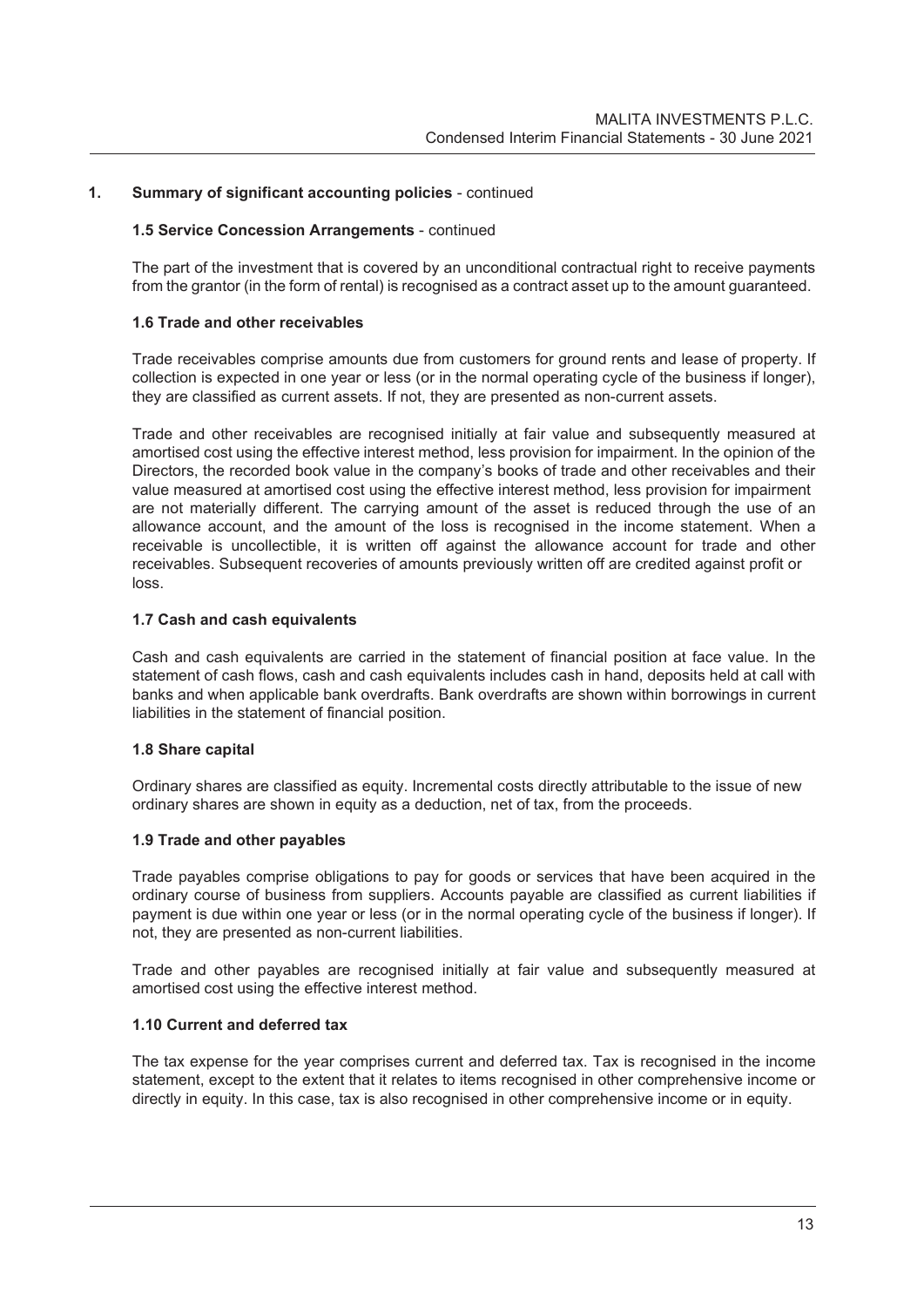# **1.5 Service Concession Arrangements** - continued

The part of the investment that is covered by an unconditional contractual right to receive payments from the grantor (in the form of rental) is recognised as a contract asset up to the amount guaranteed.

### **1.6 Trade and other receivables**

Trade receivables comprise amounts due from customers for ground rents and lease of property. If collection is expected in one year or less (or in the normal operating cycle of the business if longer), they are classified as current assets. If not, they are presented as non-current assets.

Trade and other receivables are recognised initially at fair value and subsequently measured at amortised cost using the effective interest method, less provision for impairment. In the opinion of the Directors, the recorded book value in the company's books of trade and other receivables and their value measured at amortised cost using the effective interest method, less provision for impairment are not materially different. The carrying amount of the asset is reduced through the use of an allowance account, and the amount of the loss is recognised in the income statement. When a receivable is uncollectible, it is written off against the allowance account for trade and other receivables. Subsequent recoveries of amounts previously written off are credited against profit or loss.

# **1.7 Cash and cash equivalents**

Cash and cash equivalents are carried in the statement of financial position at face value. In the statement of cash flows, cash and cash equivalents includes cash in hand, deposits held at call with banks and when applicable bank overdrafts. Bank overdrafts are shown within borrowings in current liabilities in the statement of financial position.

# **1.8 Share capital**

Ordinary shares are classified as equity. Incremental costs directly attributable to the issue of new ordinary shares are shown in equity as a deduction, net of tax, from the proceeds.

# **1.9 Trade and other payables**

Trade payables comprise obligations to pay for goods or services that have been acquired in the ordinary course of business from suppliers. Accounts payable are classified as current liabilities if payment is due within one year or less (or in the normal operating cycle of the business if longer). If not, they are presented as non-current liabilities.

Trade and other payables are recognised initially at fair value and subsequently measured at amortised cost using the effective interest method.

# **1.10 Current and deferred tax**

The tax expense for the year comprises current and deferred tax. Tax is recognised in the income statement, except to the extent that it relates to items recognised in other comprehensive income or directly in equity. In this case, tax is also recognised in other comprehensive income or in equity.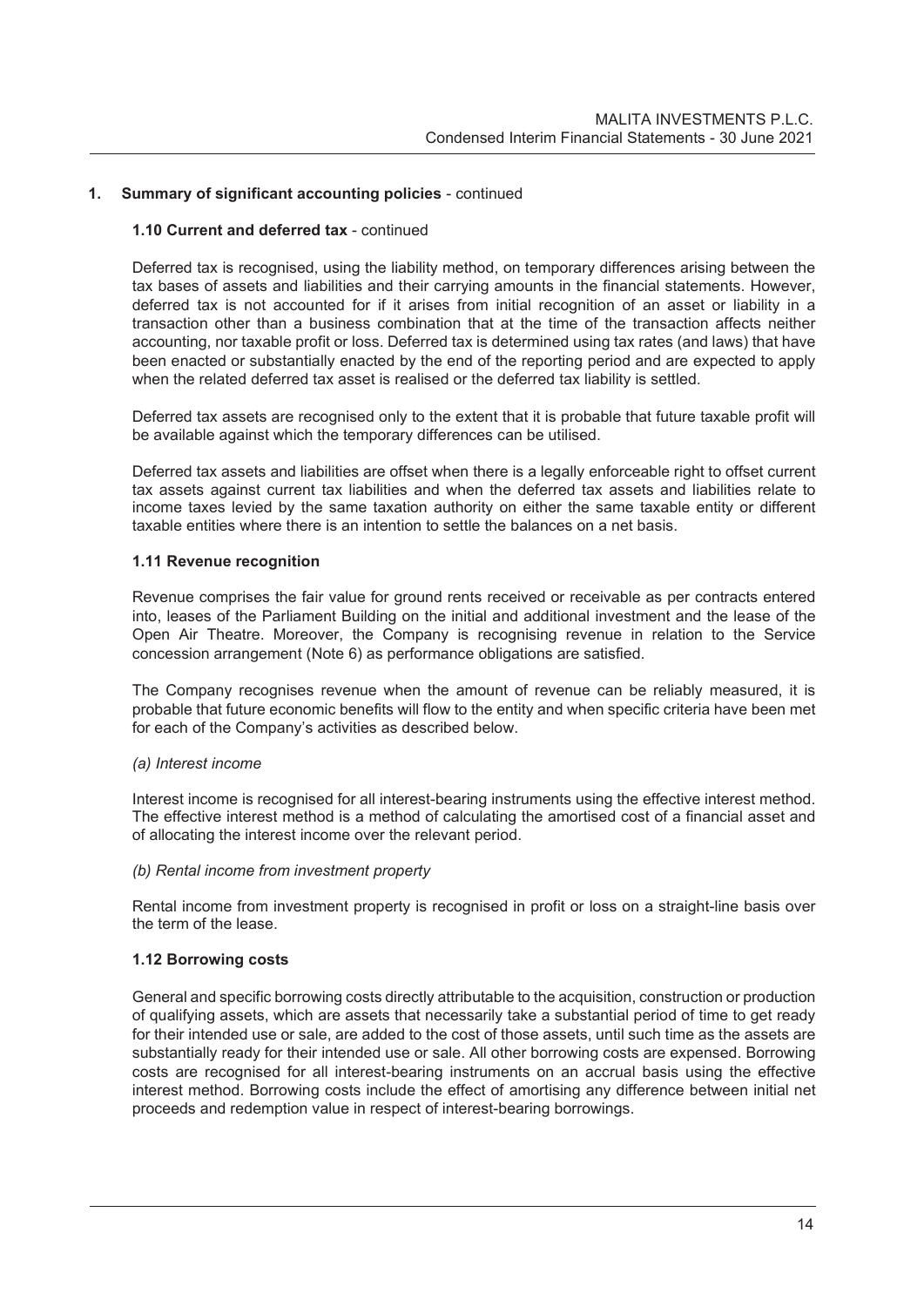# **1.10 Current and deferred tax** - continued

Deferred tax is recognised, using the liability method, on temporary differences arising between the tax bases of assets and liabilities and their carrying amounts in the financial statements. However, deferred tax is not accounted for if it arises from initial recognition of an asset or liability in a transaction other than a business combination that at the time of the transaction affects neither accounting, nor taxable profit or loss. Deferred tax is determined using tax rates (and laws) that have been enacted or substantially enacted by the end of the reporting period and are expected to apply when the related deferred tax asset is realised or the deferred tax liability is settled.

Deferred tax assets are recognised only to the extent that it is probable that future taxable profit will be available against which the temporary differences can be utilised.

Deferred tax assets and liabilities are offset when there is a legally enforceable right to offset current tax assets against current tax liabilities and when the deferred tax assets and liabilities relate to income taxes levied by the same taxation authority on either the same taxable entity or different taxable entities where there is an intention to settle the balances on a net basis.

#### **1.11 Revenue recognition**

Revenue comprises the fair value for ground rents received or receivable as per contracts entered into, leases of the Parliament Building on the initial and additional investment and the lease of the Open Air Theatre. Moreover, the Company is recognising revenue in relation to the Service concession arrangement (Note 6) as performance obligations are satisfied.

The Company recognises revenue when the amount of revenue can be reliably measured, it is probable that future economic benefits will flow to the entity and when specific criteria have been met for each of the Company's activities as described below.

# *(a) Interest income*

Interest income is recognised for all interest-bearing instruments using the effective interest method. The effective interest method is a method of calculating the amortised cost of a financial asset and of allocating the interest income over the relevant period.

#### *(b) Rental income from investment property*

Rental income from investment property is recognised in profit or loss on a straight-line basis over the term of the lease.

# **1.12 Borrowing costs**

General and specific borrowing costs directly attributable to the acquisition, construction or production of qualifying assets, which are assets that necessarily take a substantial period of time to get ready for their intended use or sale, are added to the cost of those assets, until such time as the assets are substantially ready for their intended use or sale. All other borrowing costs are expensed. Borrowing costs are recognised for all interest-bearing instruments on an accrual basis using the effective interest method. Borrowing costs include the effect of amortising any difference between initial net proceeds and redemption value in respect of interest-bearing borrowings.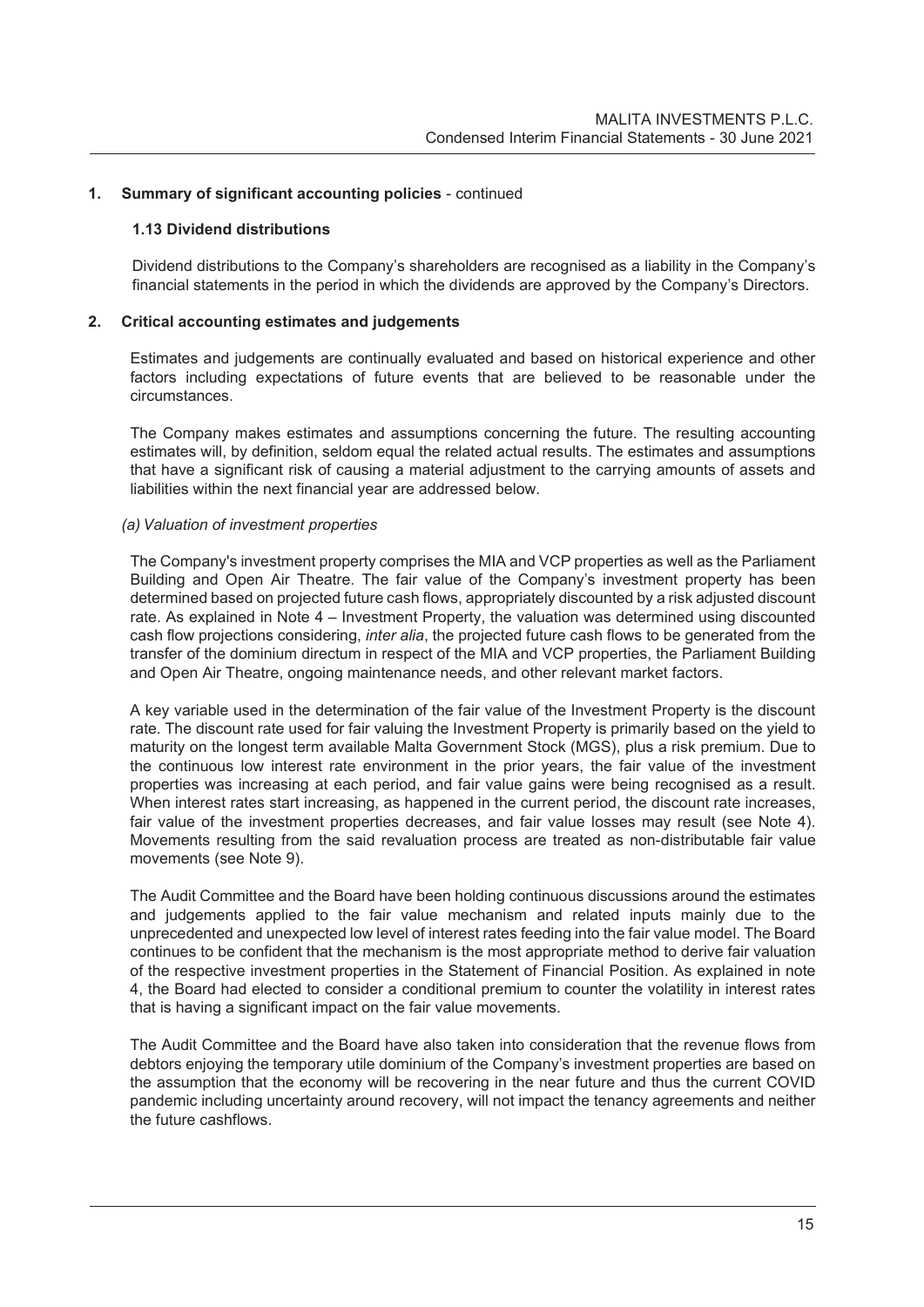#### **1.13 Dividend distributions**

Dividend distributions to the Company's shareholders are recognised as a liability in the Company's financial statements in the period in which the dividends are approved by the Company's Directors.

#### **2. Critical accounting estimates and judgements**

Estimates and judgements are continually evaluated and based on historical experience and other factors including expectations of future events that are believed to be reasonable under the circumstances.

The Company makes estimates and assumptions concerning the future. The resulting accounting estimates will, by definition, seldom equal the related actual results. The estimates and assumptions that have a significant risk of causing a material adjustment to the carrying amounts of assets and liabilities within the next financial year are addressed below.

#### *(a) Valuation of investment properties*

The Company's investment property comprises the MIA and VCP properties as well as the Parliament Building and Open Air Theatre. The fair value of the Company's investment property has been determined based on projected future cash flows, appropriately discounted by a risk adjusted discount rate. As explained in Note 4 – Investment Property, the valuation was determined using discounted cash flow projections considering, *inter alia*, the projected future cash flows to be generated from the transfer of the dominium directum in respect of the MIA and VCP properties, the Parliament Building and Open Air Theatre, ongoing maintenance needs, and other relevant market factors.

A key variable used in the determination of the fair value of the Investment Property is the discount rate. The discount rate used for fair valuing the Investment Property is primarily based on the yield to maturity on the longest term available Malta Government Stock (MGS), plus a risk premium. Due to the continuous low interest rate environment in the prior years, the fair value of the investment properties was increasing at each period, and fair value gains were being recognised as a result. When interest rates start increasing, as happened in the current period, the discount rate increases, fair value of the investment properties decreases, and fair value losses may result (see Note 4). Movements resulting from the said revaluation process are treated as non-distributable fair value movements (see Note 9).

The Audit Committee and the Board have been holding continuous discussions around the estimates and judgements applied to the fair value mechanism and related inputs mainly due to the unprecedented and unexpected low level of interest rates feeding into the fair value model. The Board continues to be confident that the mechanism is the most appropriate method to derive fair valuation of the respective investment properties in the Statement of Financial Position. As explained in note 4, the Board had elected to consider a conditional premium to counter the volatility in interest rates that is having a significant impact on the fair value movements.

The Audit Committee and the Board have also taken into consideration that the revenue flows from debtors enjoying the temporary utile dominium of the Company's investment properties are based on the assumption that the economy will be recovering in the near future and thus the current COVID pandemic including uncertainty around recovery, will not impact the tenancy agreements and neither the future cashflows.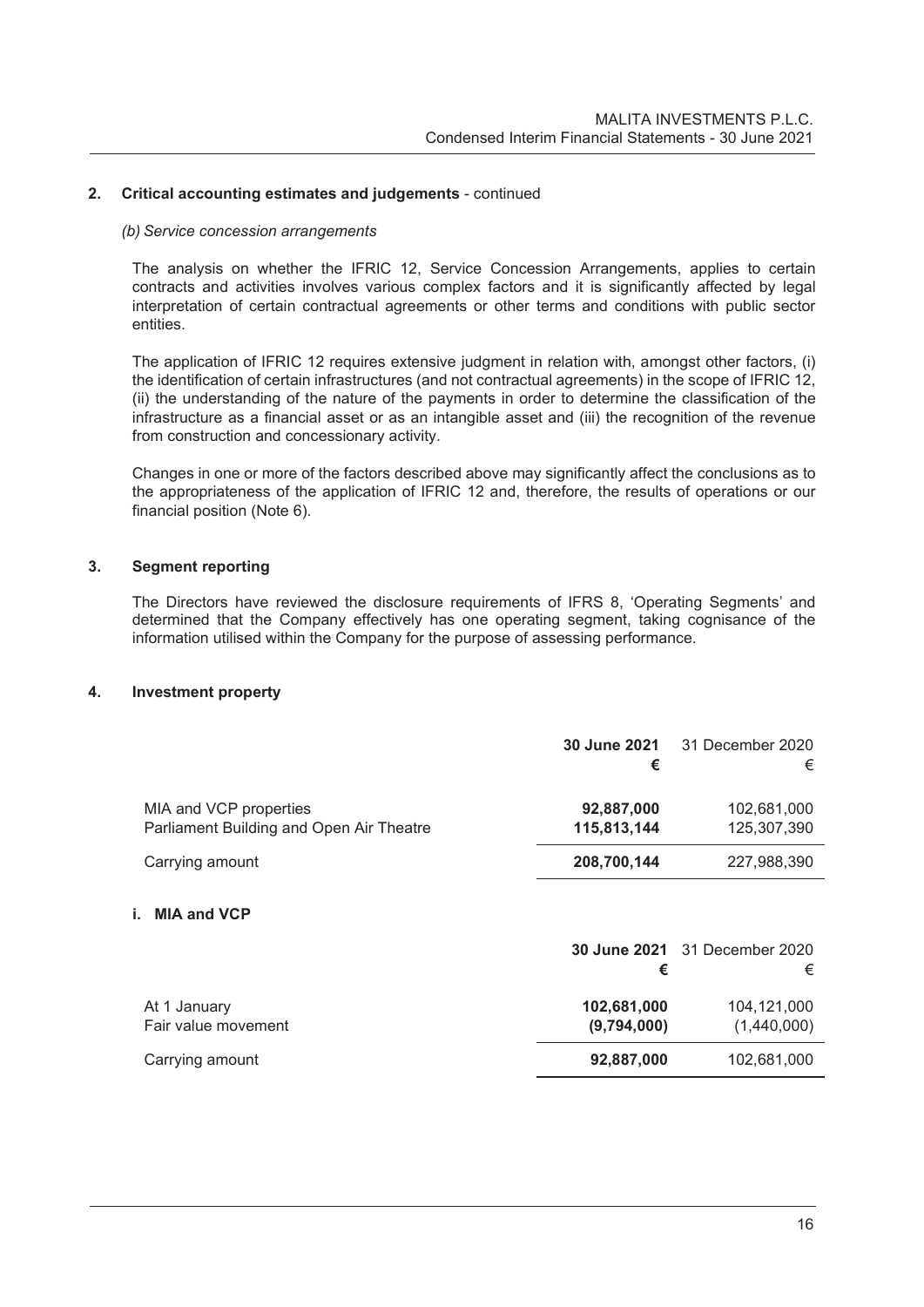# **2. Critical accounting estimates and judgements** - continued

#### *(b) Service concession arrangements*

The analysis on whether the IFRIC 12, Service Concession Arrangements, applies to certain contracts and activities involves various complex factors and it is significantly affected by legal interpretation of certain contractual agreements or other terms and conditions with public sector entities.

The application of IFRIC 12 requires extensive judgment in relation with, amongst other factors, (i) the identification of certain infrastructures (and not contractual agreements) in the scope of IFRIC 12, (ii) the understanding of the nature of the payments in order to determine the classification of the infrastructure as a financial asset or as an intangible asset and (iii) the recognition of the revenue from construction and concessionary activity.

Changes in one or more of the factors described above may significantly affect the conclusions as to the appropriateness of the application of IFRIC 12 and, therefore, the results of operations or our financial position (Note 6).

### **3. Segment reporting**

The Directors have reviewed the disclosure requirements of IFRS 8, 'Operating Segments' and determined that the Company effectively has one operating segment, taking cognisance of the information utilised within the Company for the purpose of assessing performance.

#### **4. Investment property**

|                                                                    | <b>30 June 2021</b><br>€   | 31 December 2020<br>€                     |
|--------------------------------------------------------------------|----------------------------|-------------------------------------------|
| MIA and VCP properties<br>Parliament Building and Open Air Theatre | 92,887,000<br>115,813,144  | 102,681,000<br>125,307,390                |
| Carrying amount                                                    | 208,700,144                | 227,988,390                               |
| i. MIA and VCP                                                     | €                          | <b>30 June 2021</b> 31 December 2020<br>€ |
| At 1 January<br>Fair value movement                                | 102,681,000<br>(9,794,000) | 104,121,000<br>(1,440,000)                |
| Carrying amount                                                    | 92,887,000                 | 102,681,000                               |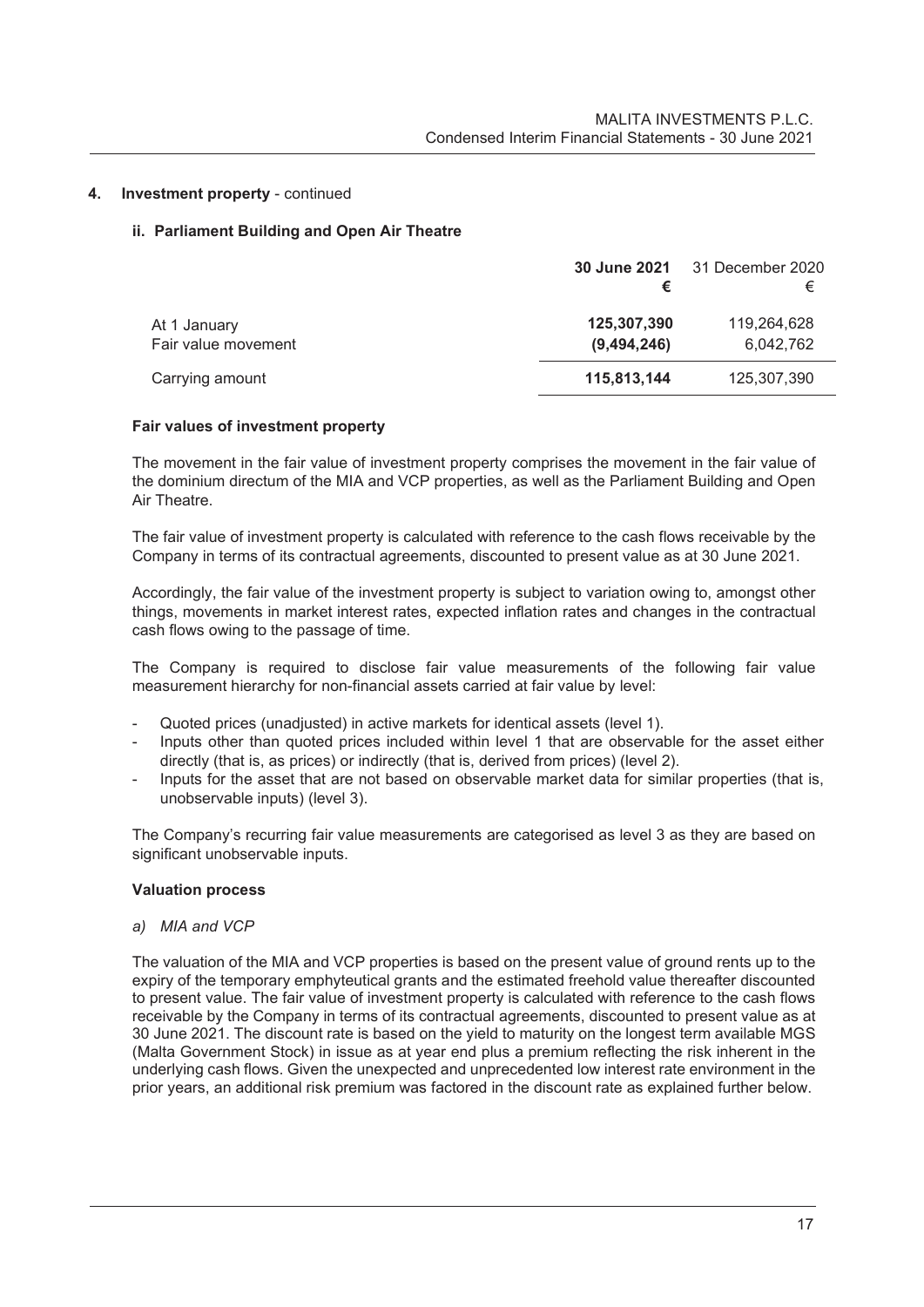# **4. Investment property** - continued

# **ii. Parliament Building and Open Air Theatre**

|                                     |                            | <b>30 June 2021</b> 31 December 2020<br>€ |
|-------------------------------------|----------------------------|-------------------------------------------|
| At 1 January<br>Fair value movement | 125,307,390<br>(9,494,246) | 119,264,628<br>6,042,762                  |
| Carrying amount                     | 115,813,144                | 125,307,390                               |

#### **Fair values of investment property**

The movement in the fair value of investment property comprises the movement in the fair value of the dominium directum of the MIA and VCP properties, as well as the Parliament Building and Open Air Theatre.

The fair value of investment property is calculated with reference to the cash flows receivable by the Company in terms of its contractual agreements, discounted to present value as at 30 June 2021.

Accordingly, the fair value of the investment property is subject to variation owing to, amongst other things, movements in market interest rates, expected inflation rates and changes in the contractual cash flows owing to the passage of time.

The Company is required to disclose fair value measurements of the following fair value measurement hierarchy for non-financial assets carried at fair value by level:

- Quoted prices (unadjusted) in active markets for identical assets (level 1).
- Inputs other than quoted prices included within level 1 that are observable for the asset either directly (that is, as prices) or indirectly (that is, derived from prices) (level 2).
- Inputs for the asset that are not based on observable market data for similar properties (that is, unobservable inputs) (level 3).

The Company's recurring fair value measurements are categorised as level 3 as they are based on significant unobservable inputs.

#### **Valuation process**

*a) MIA and VCP* 

The valuation of the MIA and VCP properties is based on the present value of ground rents up to the expiry of the temporary emphyteutical grants and the estimated freehold value thereafter discounted to present value. The fair value of investment property is calculated with reference to the cash flows receivable by the Company in terms of its contractual agreements, discounted to present value as at 30 June 2021. The discount rate is based on the yield to maturity on the longest term available MGS (Malta Government Stock) in issue as at year end plus a premium reflecting the risk inherent in the underlying cash flows. Given the unexpected and unprecedented low interest rate environment in the prior years, an additional risk premium was factored in the discount rate as explained further below.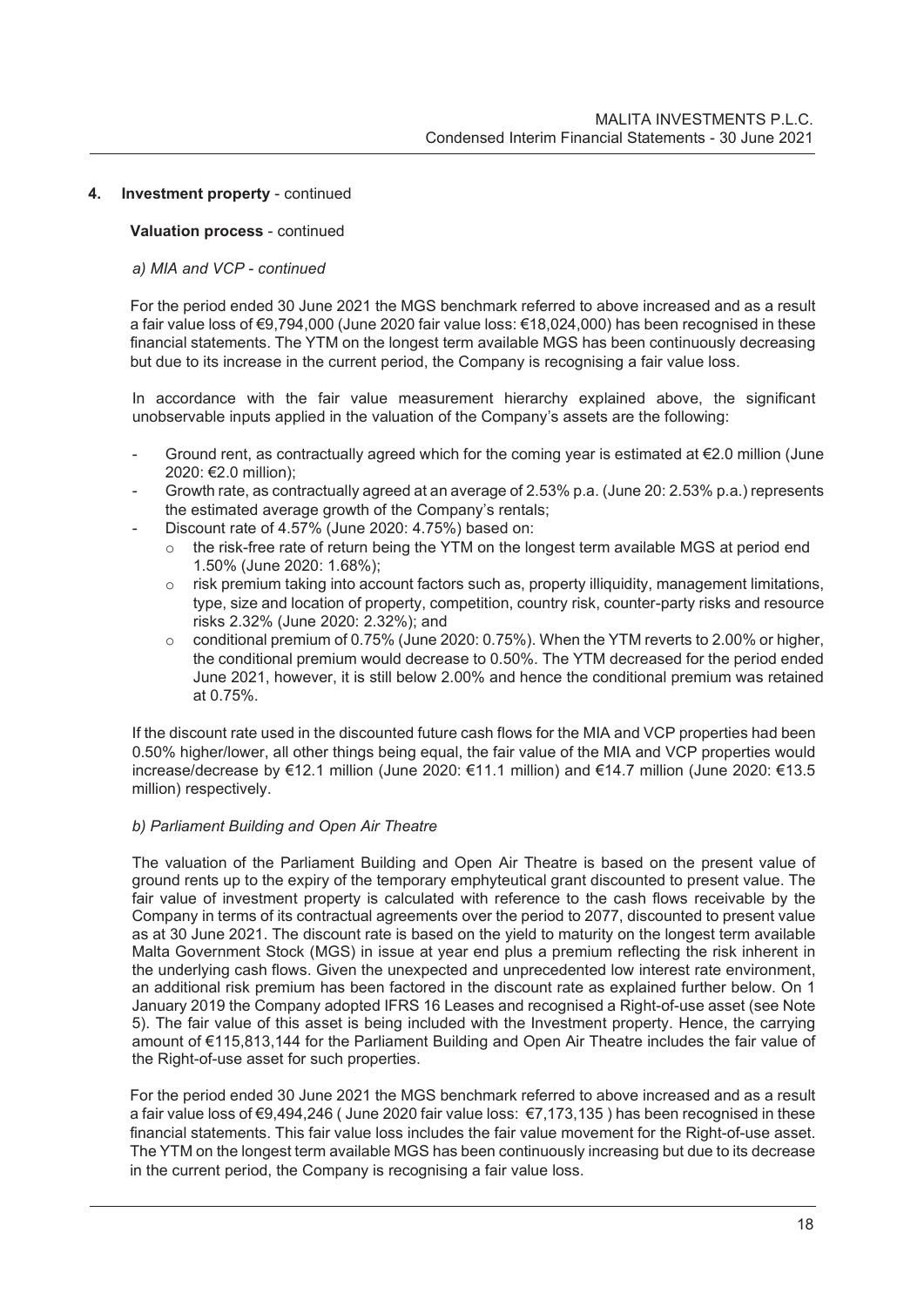# **4. Investment property** - continued

#### **Valuation process** - continued

### *a) MIA and VCP - continued*

For the period ended 30 June 2021 the MGS benchmark referred to above increased and as a result a fair value loss of €9,794,000 (June 2020 fair value loss: €18,024,000) has been recognised in these financial statements. The YTM on the longest term available MGS has been continuously decreasing but due to its increase in the current period, the Company is recognising a fair value loss.

In accordance with the fair value measurement hierarchy explained above, the significant unobservable inputs applied in the valuation of the Company's assets are the following:

- Ground rent, as contractually agreed which for the coming year is estimated at  $\epsilon$ 2.0 million (June 2020: €2.0 million);
- Growth rate, as contractually agreed at an average of 2.53% p.a. (June 20: 2.53% p.a.) represents the estimated average growth of the Company's rentals;
- Discount rate of 4.57% (June 2020: 4.75%) based on:
	- $\circ$  the risk-free rate of return being the YTM on the longest term available MGS at period end 1.50% (June 2020: 1.68%);
	- o risk premium taking into account factors such as, property illiquidity, management limitations, type, size and location of property, competition, country risk, counter-party risks and resource risks 2.32% (June 2020: 2.32%); and
	- $\circ$  conditional premium of 0.75% (June 2020: 0.75%). When the YTM reverts to 2.00% or higher, the conditional premium would decrease to 0.50%. The YTM decreased for the period ended June 2021, however, it is still below 2.00% and hence the conditional premium was retained at 0.75%.

If the discount rate used in the discounted future cash flows for the MIA and VCP properties had been 0.50% higher/lower, all other things being equal, the fair value of the MIA and VCP properties would increase/decrease by €12.1 million (June 2020: €11.1 million) and €14.7 million (June 2020: €13.5 million) respectively.

#### *b) Parliament Building and Open Air Theatre*

The valuation of the Parliament Building and Open Air Theatre is based on the present value of ground rents up to the expiry of the temporary emphyteutical grant discounted to present value. The fair value of investment property is calculated with reference to the cash flows receivable by the Company in terms of its contractual agreements over the period to 2077, discounted to present value as at 30 June 2021. The discount rate is based on the yield to maturity on the longest term available Malta Government Stock (MGS) in issue at year end plus a premium reflecting the risk inherent in the underlying cash flows. Given the unexpected and unprecedented low interest rate environment, an additional risk premium has been factored in the discount rate as explained further below. On 1 January 2019 the Company adopted IFRS 16 Leases and recognised a Right-of-use asset (see Note 5). The fair value of this asset is being included with the Investment property. Hence, the carrying amount of €115,813,144 for the Parliament Building and Open Air Theatre includes the fair value of the Right-of-use asset for such properties.

For the period ended 30 June 2021 the MGS benchmark referred to above increased and as a result a fair value loss of €9,494,246 ( June 2020 fair value loss: €7,173,135 ) has been recognised in these financial statements. This fair value loss includes the fair value movement for the Right-of-use asset. The YTM on the longest term available MGS has been continuously increasing but due to its decrease in the current period, the Company is recognising a fair value loss.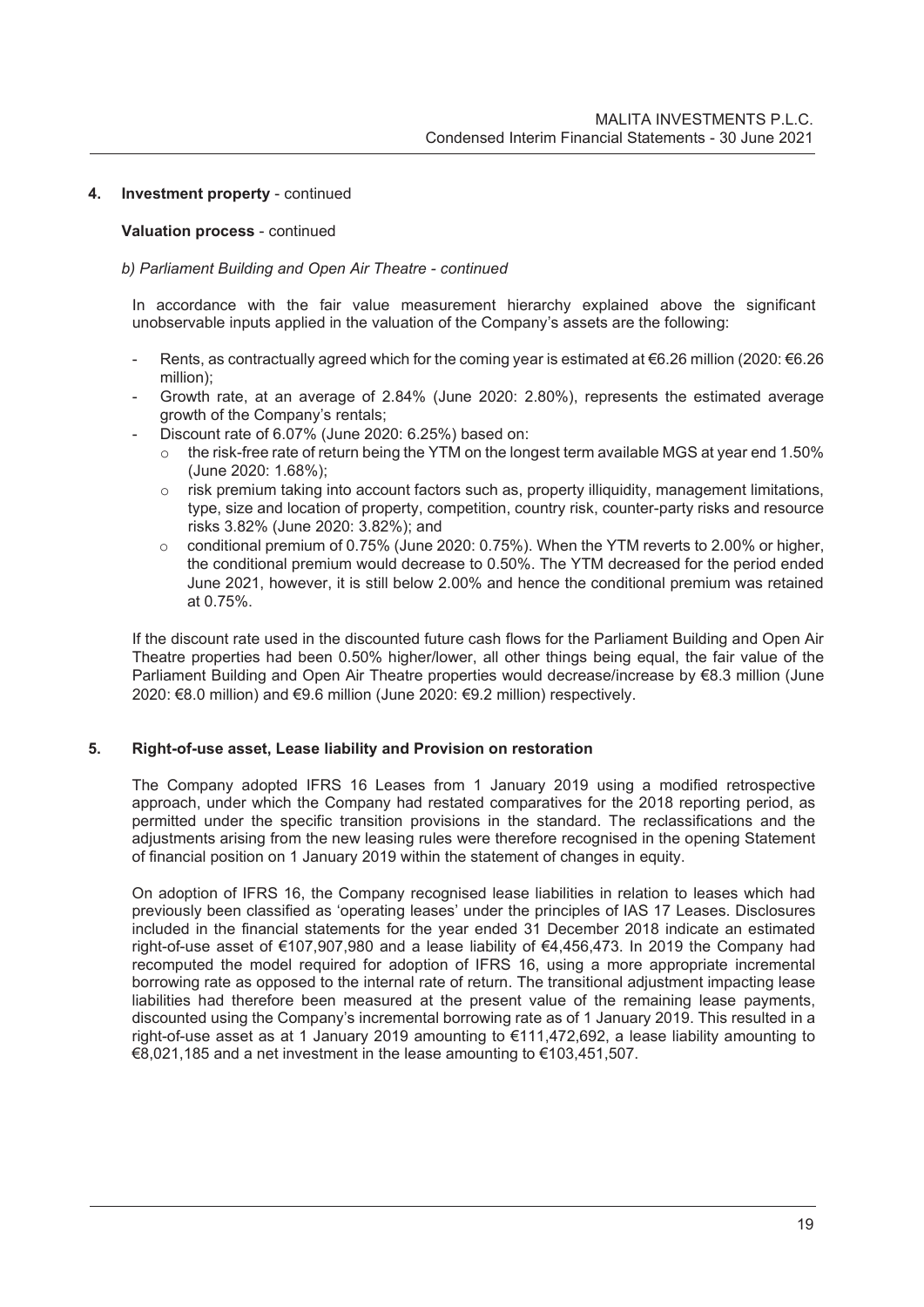# **4. Investment property** - continued

#### **Valuation process** - continued

#### *b) Parliament Building and Open Air Theatre - continued*

In accordance with the fair value measurement hierarchy explained above the significant unobservable inputs applied in the valuation of the Company's assets are the following:

- Rents, as contractually agreed which for the coming year is estimated at €6.26 million (2020: €6.26 million);
- Growth rate, at an average of 2.84% (June 2020: 2.80%), represents the estimated average growth of the Company's rentals;
- Discount rate of 6.07% (June 2020: 6.25%) based on:
	- $\circ$  the risk-free rate of return being the YTM on the longest term available MGS at year end 1.50% (June 2020: 1.68%);
	- $\circ$  risk premium taking into account factors such as, property illiquidity, management limitations, type, size and location of property, competition, country risk, counter-party risks and resource risks 3.82% (June 2020: 3.82%); and
	- $\circ$  conditional premium of 0.75% (June 2020: 0.75%). When the YTM reverts to 2.00% or higher, the conditional premium would decrease to 0.50%. The YTM decreased for the period ended June 2021, however, it is still below 2.00% and hence the conditional premium was retained at 0.75%.

If the discount rate used in the discounted future cash flows for the Parliament Building and Open Air Theatre properties had been 0.50% higher/lower, all other things being equal, the fair value of the Parliament Building and Open Air Theatre properties would decrease/increase by €8.3 million (June 2020: €8.0 million) and €9.6 million (June 2020: €9.2 million) respectively.

#### **5. Right-of-use asset, Lease liability and Provision on restoration**

The Company adopted IFRS 16 Leases from 1 January 2019 using a modified retrospective approach, under which the Company had restated comparatives for the 2018 reporting period, as permitted under the specific transition provisions in the standard. The reclassifications and the adjustments arising from the new leasing rules were therefore recognised in the opening Statement of financial position on 1 January 2019 within the statement of changes in equity.

On adoption of IFRS 16, the Company recognised lease liabilities in relation to leases which had previously been classified as 'operating leases' under the principles of IAS 17 Leases. Disclosures included in the financial statements for the year ended 31 December 2018 indicate an estimated right-of-use asset of €107,907,980 and a lease liability of €4,456,473. In 2019 the Company had recomputed the model required for adoption of IFRS 16, using a more appropriate incremental borrowing rate as opposed to the internal rate of return. The transitional adjustment impacting lease liabilities had therefore been measured at the present value of the remaining lease payments, discounted using the Company's incremental borrowing rate as of 1 January 2019. This resulted in a right-of-use asset as at 1 January 2019 amounting to €111,472,692, a lease liability amounting to €8,021,185 and a net investment in the lease amounting to €103,451,507.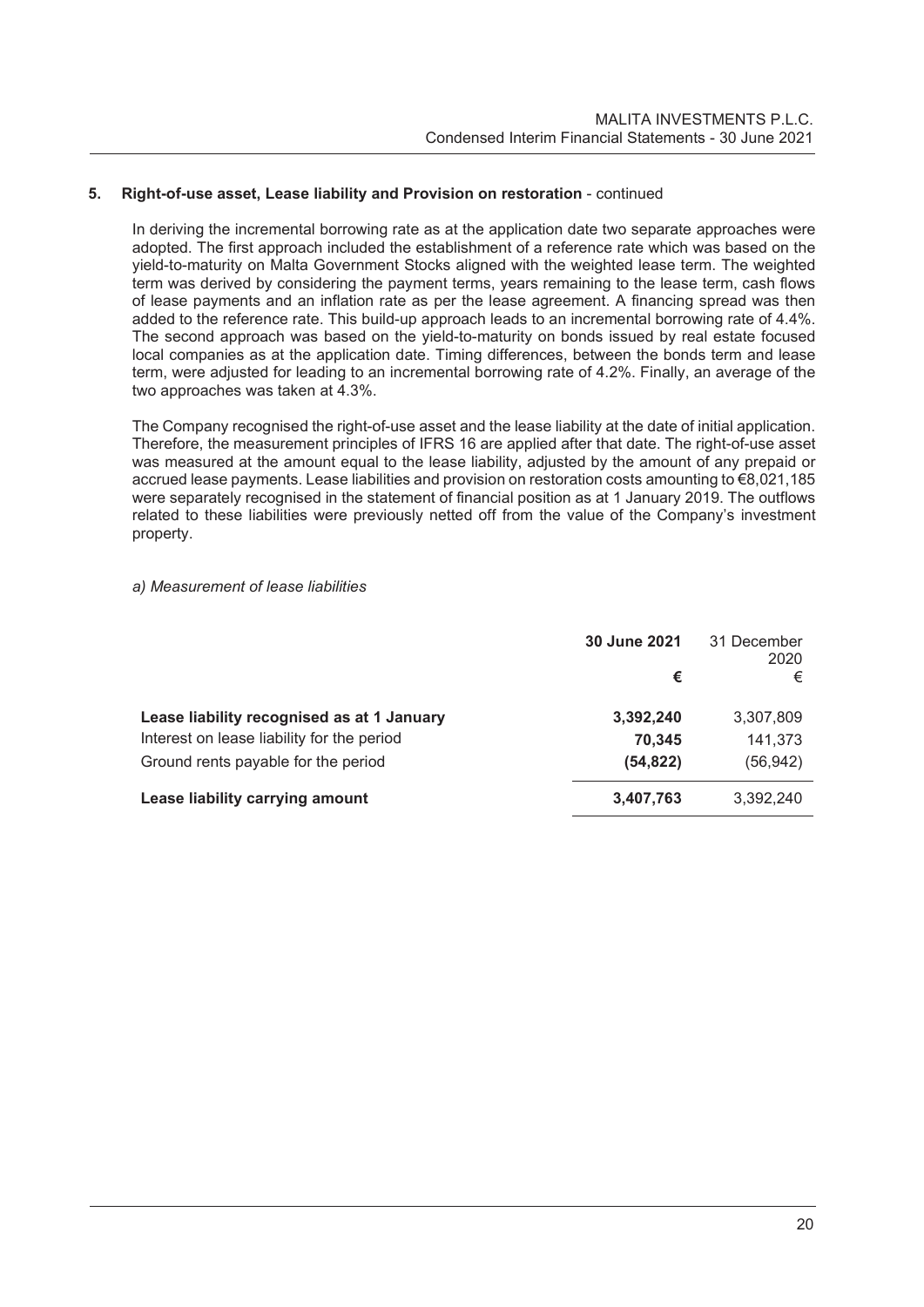# **5. Right-of-use asset, Lease liability and Provision on restoration - continued**

In deriving the incremental borrowing rate as at the application date two separate approaches were adopted. The first approach included the establishment of a reference rate which was based on the yield-to-maturity on Malta Government Stocks aligned with the weighted lease term. The weighted term was derived by considering the payment terms, years remaining to the lease term, cash flows of lease payments and an inflation rate as per the lease agreement. A financing spread was then added to the reference rate. This build-up approach leads to an incremental borrowing rate of 4.4%. The second approach was based on the yield-to-maturity on bonds issued by real estate focused local companies as at the application date. Timing differences, between the bonds term and lease term, were adjusted for leading to an incremental borrowing rate of 4.2%. Finally, an average of the two approaches was taken at 4.3%.

The Company recognised the right-of-use asset and the lease liability at the date of initial application. Therefore, the measurement principles of IFRS 16 are applied after that date. The right-of-use asset was measured at the amount equal to the lease liability, adjusted by the amount of any prepaid or accrued lease payments. Lease liabilities and provision on restoration costs amounting to €8,021,185 were separately recognised in the statement of financial position as at 1 January 2019. The outflows related to these liabilities were previously netted off from the value of the Company's investment property.

#### *a) Measurement of lease liabilities*

|                                            | 30 June 2021<br>€ | 31 December<br>2020<br>€ |
|--------------------------------------------|-------------------|--------------------------|
|                                            |                   |                          |
| Lease liability recognised as at 1 January | 3,392,240         | 3,307,809                |
| Interest on lease liability for the period | 70.345            | 141,373                  |
| Ground rents payable for the period        | (54, 822)         | (56,942)                 |
| Lease liability carrying amount            | 3,407,763         | 3,392,240                |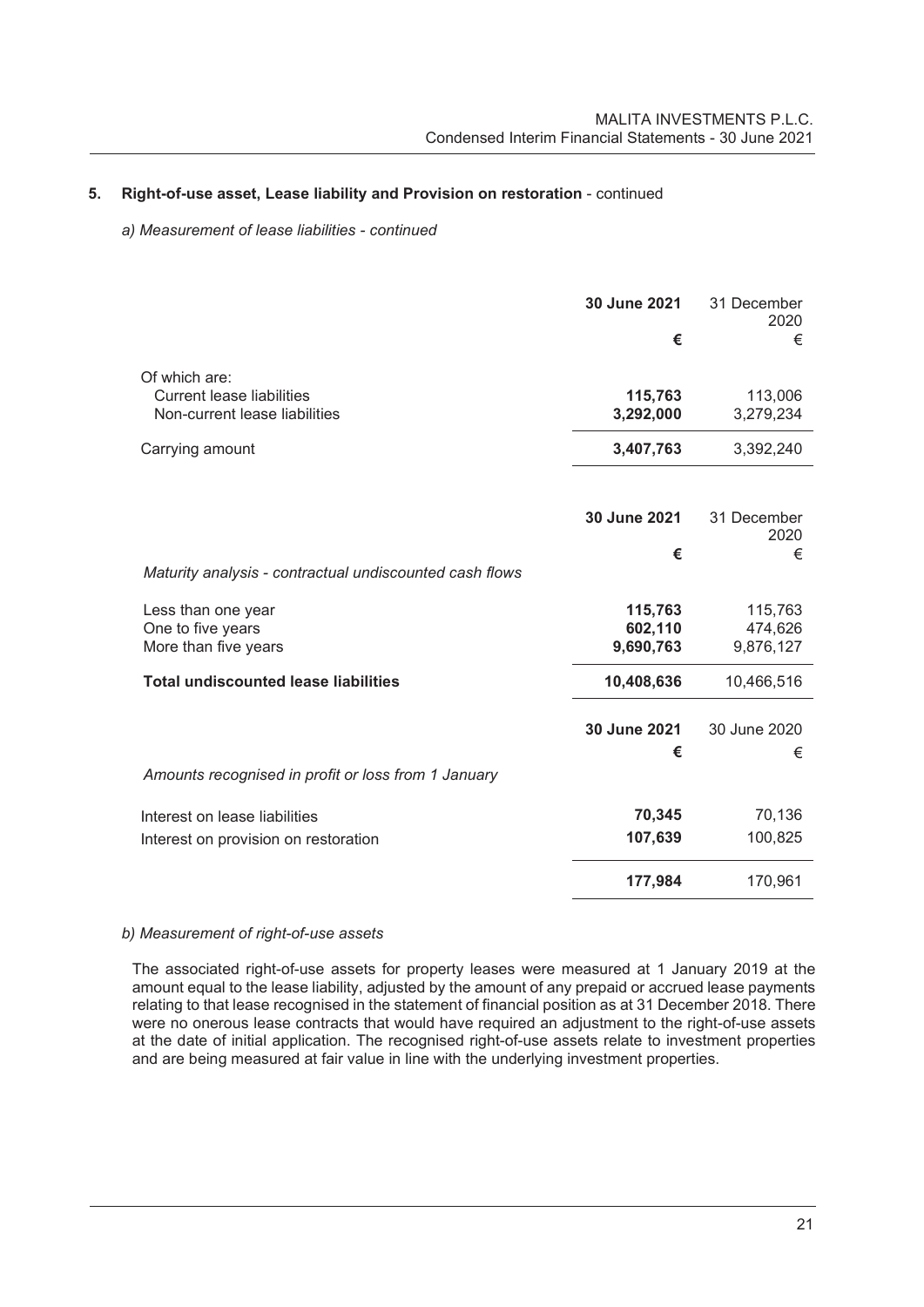# **5. Right-of-use asset, Lease liability and Provision on restoration** - continued

#### *a) Measurement of lease liabilities - continued*

|                                                                                    | 30 June 2021<br>€               | 31 December<br>2020<br>€        |
|------------------------------------------------------------------------------------|---------------------------------|---------------------------------|
| Of which are:<br><b>Current lease liabilities</b><br>Non-current lease liabilities | 115,763<br>3,292,000            | 113,006<br>3,279,234            |
| Carrying amount                                                                    | 3,407,763                       | 3,392,240                       |
|                                                                                    | 30 June 2021                    | 31 December<br>2020             |
| Maturity analysis - contractual undiscounted cash flows                            | €                               | €                               |
| Less than one year<br>One to five years<br>More than five years                    | 115,763<br>602,110<br>9,690,763 | 115,763<br>474,626<br>9,876,127 |
| <b>Total undiscounted lease liabilities</b>                                        | 10,408,636                      | 10,466,516                      |
|                                                                                    | 30 June 2021<br>€               | 30 June 2020<br>€               |
| Amounts recognised in profit or loss from 1 January                                |                                 |                                 |
| Interest on lease liabilities<br>Interest on provision on restoration              | 70,345<br>107,639               | 70,136<br>100,825               |
|                                                                                    | 177,984                         | 170,961                         |

#### *b) Measurement of right-of-use assets*

The associated right-of-use assets for property leases were measured at 1 January 2019 at the amount equal to the lease liability, adjusted by the amount of any prepaid or accrued lease payments relating to that lease recognised in the statement of financial position as at 31 December 2018. There were no onerous lease contracts that would have required an adjustment to the right-of-use assets at the date of initial application. The recognised right-of-use assets relate to investment properties and are being measured at fair value in line with the underlying investment properties.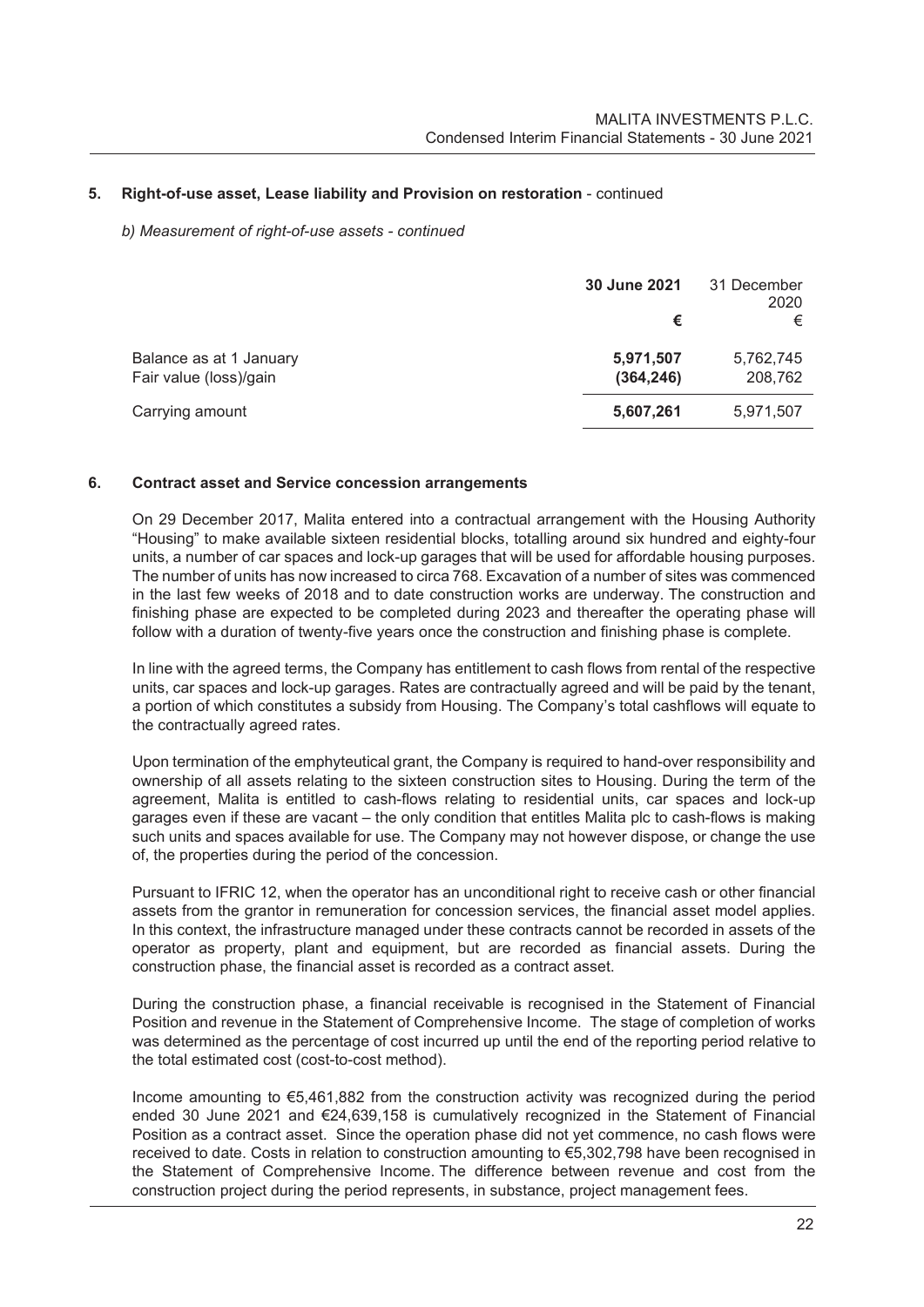# **5. Right-of-use asset, Lease liability and Provision on restoration** - continued

#### *b) Measurement of right-of-use assets - continued*

|                                                   | 30 June 2021<br>€       | 31 December<br>2020<br>€ |
|---------------------------------------------------|-------------------------|--------------------------|
| Balance as at 1 January<br>Fair value (loss)/gain | 5,971,507<br>(364, 246) | 5,762,745<br>208,762     |
| Carrying amount                                   | 5,607,261               | 5,971,507                |

#### **6. Contract asset and Service concession arrangements**

On 29 December 2017, Malita entered into a contractual arrangement with the Housing Authority "Housing" to make available sixteen residential blocks, totalling around six hundred and eighty-four units, a number of car spaces and lock-up garages that will be used for affordable housing purposes. The number of units has now increased to circa 768. Excavation of a number of sites was commenced in the last few weeks of 2018 and to date construction works are underway. The construction and finishing phase are expected to be completed during 2023 and thereafter the operating phase will follow with a duration of twenty-five years once the construction and finishing phase is complete.

In line with the agreed terms, the Company has entitlement to cash flows from rental of the respective units, car spaces and lock-up garages. Rates are contractually agreed and will be paid by the tenant, a portion of which constitutes a subsidy from Housing. The Company's total cashflows will equate to the contractually agreed rates.

Upon termination of the emphyteutical grant, the Company is required to hand-over responsibility and ownership of all assets relating to the sixteen construction sites to Housing. During the term of the agreement, Malita is entitled to cash-flows relating to residential units, car spaces and lock-up garages even if these are vacant – the only condition that entitles Malita plc to cash-flows is making such units and spaces available for use. The Company may not however dispose, or change the use of, the properties during the period of the concession.

Pursuant to IFRIC 12, when the operator has an unconditional right to receive cash or other financial assets from the grantor in remuneration for concession services, the financial asset model applies. In this context, the infrastructure managed under these contracts cannot be recorded in assets of the operator as property, plant and equipment, but are recorded as financial assets. During the construction phase, the financial asset is recorded as a contract asset.

During the construction phase, a financial receivable is recognised in the Statement of Financial Position and revenue in the Statement of Comprehensive Income. The stage of completion of works was determined as the percentage of cost incurred up until the end of the reporting period relative to the total estimated cost (cost-to-cost method).

Income amounting to €5,461,882 from the construction activity was recognized during the period ended 30 June 2021 and €24,639,158 is cumulatively recognized in the Statement of Financial Position as a contract asset. Since the operation phase did not yet commence, no cash flows were received to date. Costs in relation to construction amounting to €5,302,798 have been recognised in the Statement of Comprehensive Income. The difference between revenue and cost from the construction project during the period represents, in substance, project management fees.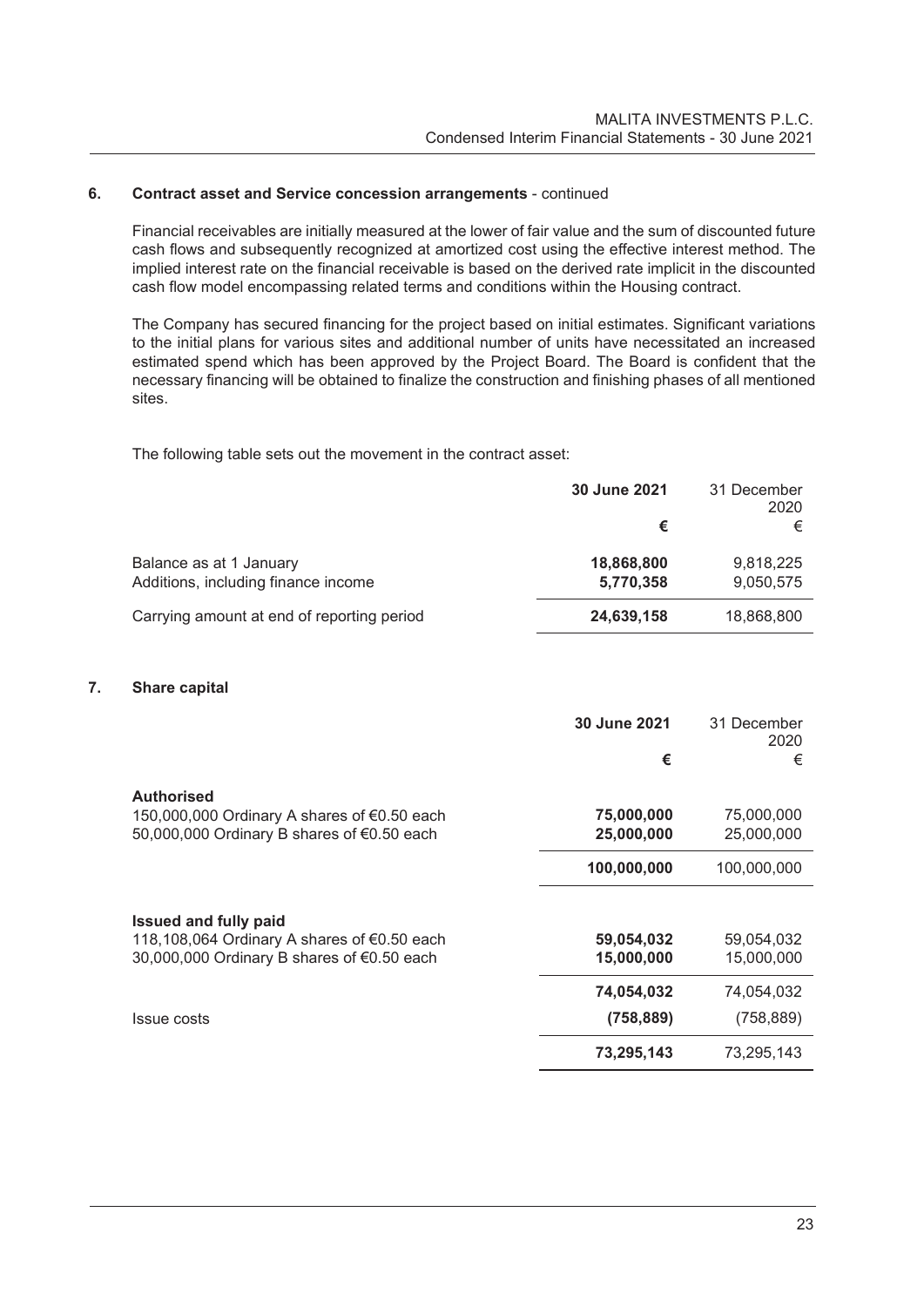# **6. Contract asset and Service concession arrangements** - continued

Financial receivables are initially measured at the lower of fair value and the sum of discounted future cash flows and subsequently recognized at amortized cost using the effective interest method. The implied interest rate on the financial receivable is based on the derived rate implicit in the discounted cash flow model encompassing related terms and conditions within the Housing contract.

The Company has secured financing for the project based on initial estimates. Significant variations to the initial plans for various sites and additional number of units have necessitated an increased estimated spend which has been approved by the Project Board. The Board is confident that the necessary financing will be obtained to finalize the construction and finishing phases of all mentioned sites.

The following table sets out the movement in the contract asset:

|                                            | 30 June 2021 | 31 December<br>2020 |
|--------------------------------------------|--------------|---------------------|
|                                            | €            |                     |
| Balance as at 1 January                    | 18,868,800   | 9,818,225           |
| Additions, including finance income        | 5,770,358    | 9,050,575           |
| Carrying amount at end of reporting period | 24,639,158   | 18,868,800          |

# **7. Share capital**

|                                                                                           | 30 June 2021<br>€        | 31 December<br>2020<br>€ |
|-------------------------------------------------------------------------------------------|--------------------------|--------------------------|
| <b>Authorised</b>                                                                         |                          |                          |
| 150,000,000 Ordinary A shares of €0.50 each<br>50,000,000 Ordinary B shares of €0.50 each | 75,000,000<br>25,000,000 | 75,000,000<br>25,000,000 |
|                                                                                           | 100,000,000              | 100,000,000              |
| <b>Issued and fully paid</b>                                                              |                          |                          |
| 118,108,064 Ordinary A shares of €0.50 each                                               | 59,054,032               | 59,054,032               |
| 30,000,000 Ordinary B shares of €0.50 each                                                | 15,000,000               | 15,000,000               |
|                                                                                           | 74,054,032               | 74,054,032               |
| <b>Issue costs</b>                                                                        | (758, 889)               | (758, 889)               |
|                                                                                           | 73,295,143               | 73,295,143               |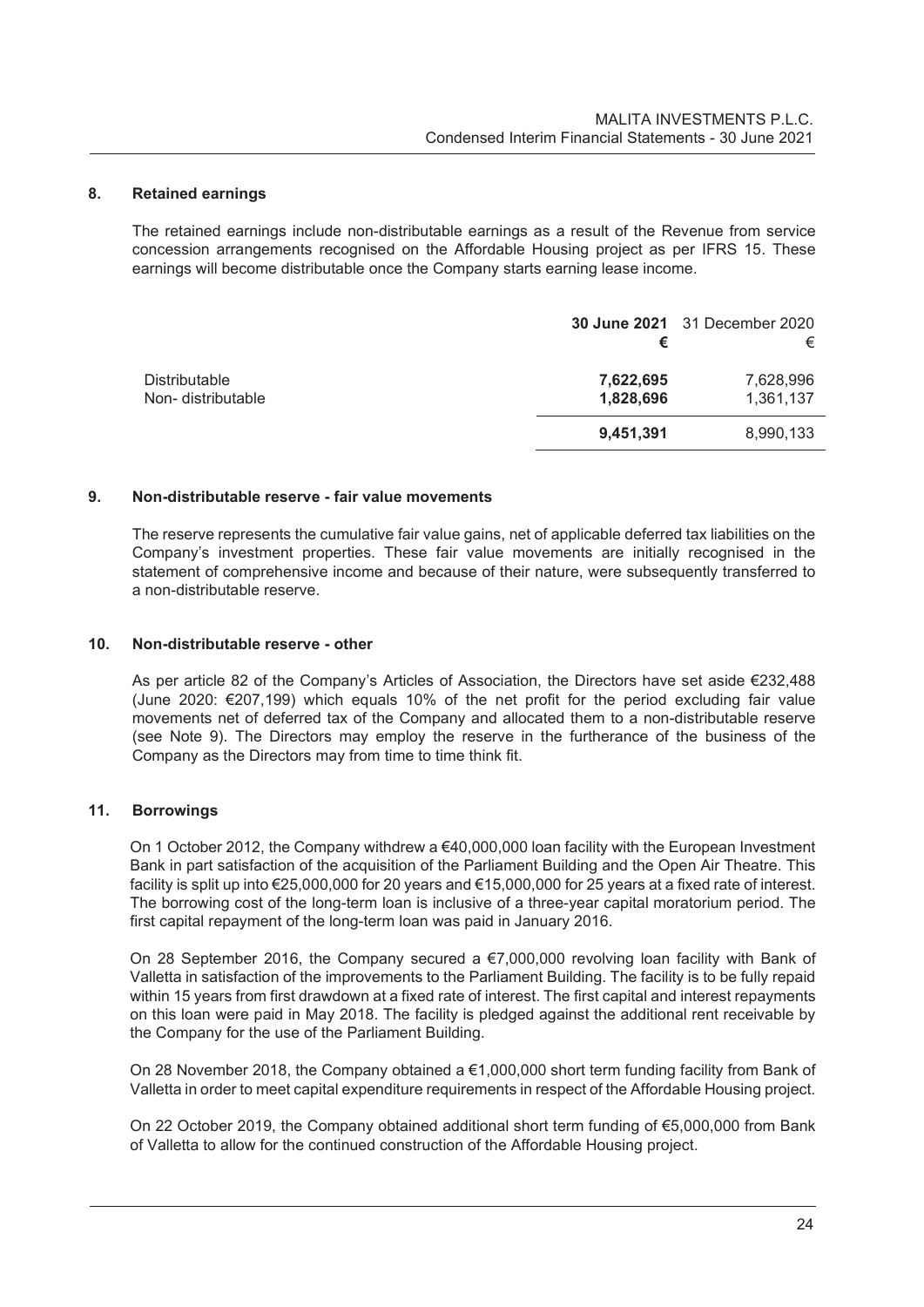#### **8. Retained earnings**

The retained earnings include non-distributable earnings as a result of the Revenue from service concession arrangements recognised on the Affordable Housing project as per IFRS 15. These earnings will become distributable once the Company starts earning lease income.

|                                           |                        | <b>30 June 2021</b> 31 December 2020 |
|-------------------------------------------|------------------------|--------------------------------------|
|                                           |                        | €                                    |
| <b>Distributable</b><br>Non-distributable | 7,622,695<br>1,828,696 | 7,628,996<br>1,361,137               |
|                                           | 9,451,391              | 8,990,133                            |

#### **9. Non-distributable reserve - fair value movements**

The reserve represents the cumulative fair value gains, net of applicable deferred tax liabilities on the Company's investment properties. These fair value movements are initially recognised in the statement of comprehensive income and because of their nature, were subsequently transferred to a non-distributable reserve.

#### **10. Non-distributable reserve - other**

As per article 82 of the Company's Articles of Association, the Directors have set aside €232,488 (June 2020: €207,199) which equals 10% of the net profit for the period excluding fair value movements net of deferred tax of the Company and allocated them to a non-distributable reserve (see Note 9). The Directors may employ the reserve in the furtherance of the business of the Company as the Directors may from time to time think fit.

# **11. Borrowings**

On 1 October 2012, the Company withdrew a €40,000,000 loan facility with the European Investment Bank in part satisfaction of the acquisition of the Parliament Building and the Open Air Theatre. This facility is split up into €25,000,000 for 20 years and €15,000,000 for 25 years at a fixed rate of interest. The borrowing cost of the long-term loan is inclusive of a three-year capital moratorium period. The first capital repayment of the long-term loan was paid in January 2016.

On 28 September 2016, the Company secured a €7,000,000 revolving loan facility with Bank of Valletta in satisfaction of the improvements to the Parliament Building. The facility is to be fully repaid within 15 years from first drawdown at a fixed rate of interest. The first capital and interest repayments on this loan were paid in May 2018. The facility is pledged against the additional rent receivable by the Company for the use of the Parliament Building.

On 28 November 2018, the Company obtained a €1,000,000 short term funding facility from Bank of Valletta in order to meet capital expenditure requirements in respect of the Affordable Housing project.

On 22 October 2019, the Company obtained additional short term funding of €5,000,000 from Bank of Valletta to allow for the continued construction of the Affordable Housing project.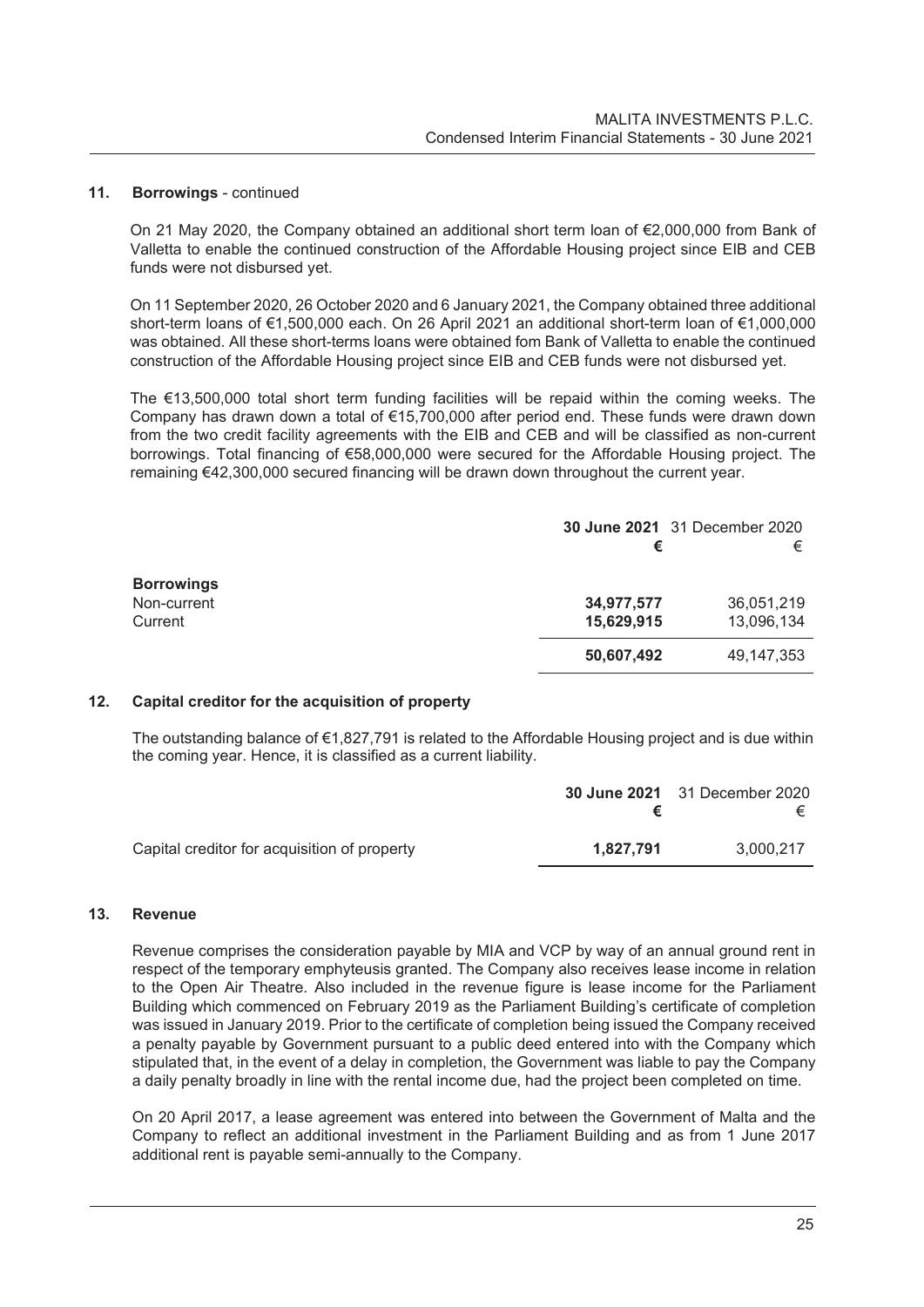#### **11. Borrowings** - continued

On 21 May 2020, the Company obtained an additional short term loan of €2,000,000 from Bank of Valletta to enable the continued construction of the Affordable Housing project since EIB and CEB funds were not disbursed yet.

On 11 September 2020, 26 October 2020 and 6 January 2021, the Company obtained three additional short-term loans of €1,500,000 each. On 26 April 2021 an additional short-term loan of €1,000,000 was obtained. All these short-terms loans were obtained fom Bank of Valletta to enable the continued construction of the Affordable Housing project since EIB and CEB funds were not disbursed yet.

The €13,500,000 total short term funding facilities will be repaid within the coming weeks. The Company has drawn down a total of €15,700,000 after period end. These funds were drawn down from the two credit facility agreements with the EIB and CEB and will be classified as non-current borrowings. Total financing of €58,000,000 were secured for the Affordable Housing project. The remaining €42,300,000 secured financing will be drawn down throughout the current year.

|                   | <b>30 June 2021</b> 31 December 2020 |            |
|-------------------|--------------------------------------|------------|
|                   | €                                    | €          |
| <b>Borrowings</b> |                                      |            |
| Non-current       | 34,977,577                           | 36,051,219 |
| Current           | 15,629,915                           | 13,096,134 |
|                   | 50,607,492                           | 49,147,353 |

# **12. Capital creditor for the acquisition of property**

The outstanding balance of €1,827,791 is related to the Affordable Housing project and is due within the coming year. Hence, it is classified as a current liability.

|                                              |           | <b>30 June 2021</b> 31 December 2020<br>€ |
|----------------------------------------------|-----------|-------------------------------------------|
| Capital creditor for acquisition of property | 1.827.791 | 3.000.217                                 |

#### **13. Revenue**

Revenue comprises the consideration payable by MIA and VCP by way of an annual ground rent in respect of the temporary emphyteusis granted. The Company also receives lease income in relation to the Open Air Theatre. Also included in the revenue figure is lease income for the Parliament Building which commenced on February 2019 as the Parliament Building's certificate of completion was issued in January 2019. Prior to the certificate of completion being issued the Company received a penalty payable by Government pursuant to a public deed entered into with the Company which stipulated that, in the event of a delay in completion, the Government was liable to pay the Company a daily penalty broadly in line with the rental income due, had the project been completed on time.

On 20 April 2017, a lease agreement was entered into between the Government of Malta and the Company to reflect an additional investment in the Parliament Building and as from 1 June 2017 additional rent is payable semi-annually to the Company.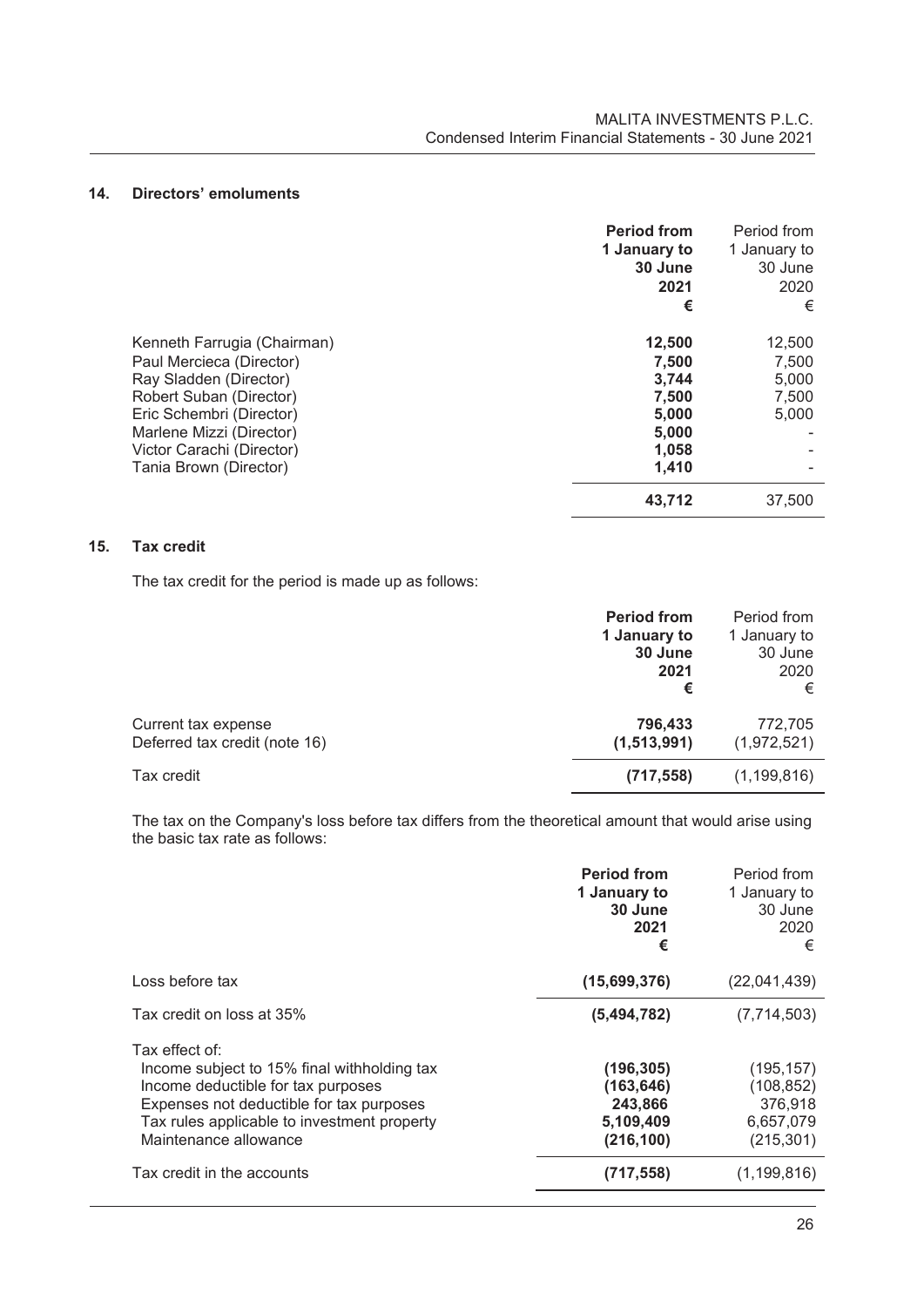# **14. Directors' emoluments**

|                                                                                                                                                                                                                             | <b>Period from</b><br>1 January to<br>30 June<br>2021<br>€            | Period from<br>1 January to<br>30 June<br>2020<br>€ |
|-----------------------------------------------------------------------------------------------------------------------------------------------------------------------------------------------------------------------------|-----------------------------------------------------------------------|-----------------------------------------------------|
| Kenneth Farrugia (Chairman)<br>Paul Mercieca (Director)<br>Ray Sladden (Director)<br>Robert Suban (Director)<br>Eric Schembri (Director)<br>Marlene Mizzi (Director)<br>Victor Carachi (Director)<br>Tania Brown (Director) | 12,500<br>7,500<br>3,744<br>7,500<br>5,000<br>5,000<br>1,058<br>1,410 | 12,500<br>7,500<br>5,000<br>7,500<br>5,000          |
|                                                                                                                                                                                                                             | 43,712                                                                | 37.500                                              |

### **15. Tax credit**

The tax credit for the period is made up as follows:

|                                                      | <b>Period from</b><br>1 January to<br>30 June<br>2021<br>€ | Period from<br>1 January to<br>30 June<br>2020<br>€ |
|------------------------------------------------------|------------------------------------------------------------|-----------------------------------------------------|
| Current tax expense<br>Deferred tax credit (note 16) | 796,433<br>(1,513,991)                                     | 772,705<br>(1,972,521)                              |
| Tax credit                                           | (717, 558)                                                 | (1, 199, 816)                                       |

The tax on the Company's loss before tax differs from the theoretical amount that would arise using the basic tax rate as follows:

|                                                                                                                                                                                                                         | <b>Period from</b><br>1 January to<br>30 June<br>2021<br>€     | Period from<br>1 January to<br>30 June<br>2020<br>€            |
|-------------------------------------------------------------------------------------------------------------------------------------------------------------------------------------------------------------------------|----------------------------------------------------------------|----------------------------------------------------------------|
| Loss before tax                                                                                                                                                                                                         | (15,699,376)                                                   | (22,041,439)                                                   |
| Tax credit on loss at 35%                                                                                                                                                                                               | (5,494,782)                                                    | (7,714,503)                                                    |
| Tax effect of:<br>Income subject to 15% final withholding tax<br>Income deductible for tax purposes<br>Expenses not deductible for tax purposes<br>Tax rules applicable to investment property<br>Maintenance allowance | (196, 305)<br>(163, 646)<br>243,866<br>5,109,409<br>(216, 100) | (195, 157)<br>(108, 852)<br>376,918<br>6,657,079<br>(215, 301) |
| Tax credit in the accounts                                                                                                                                                                                              | (717, 558)                                                     | (1, 199, 816)                                                  |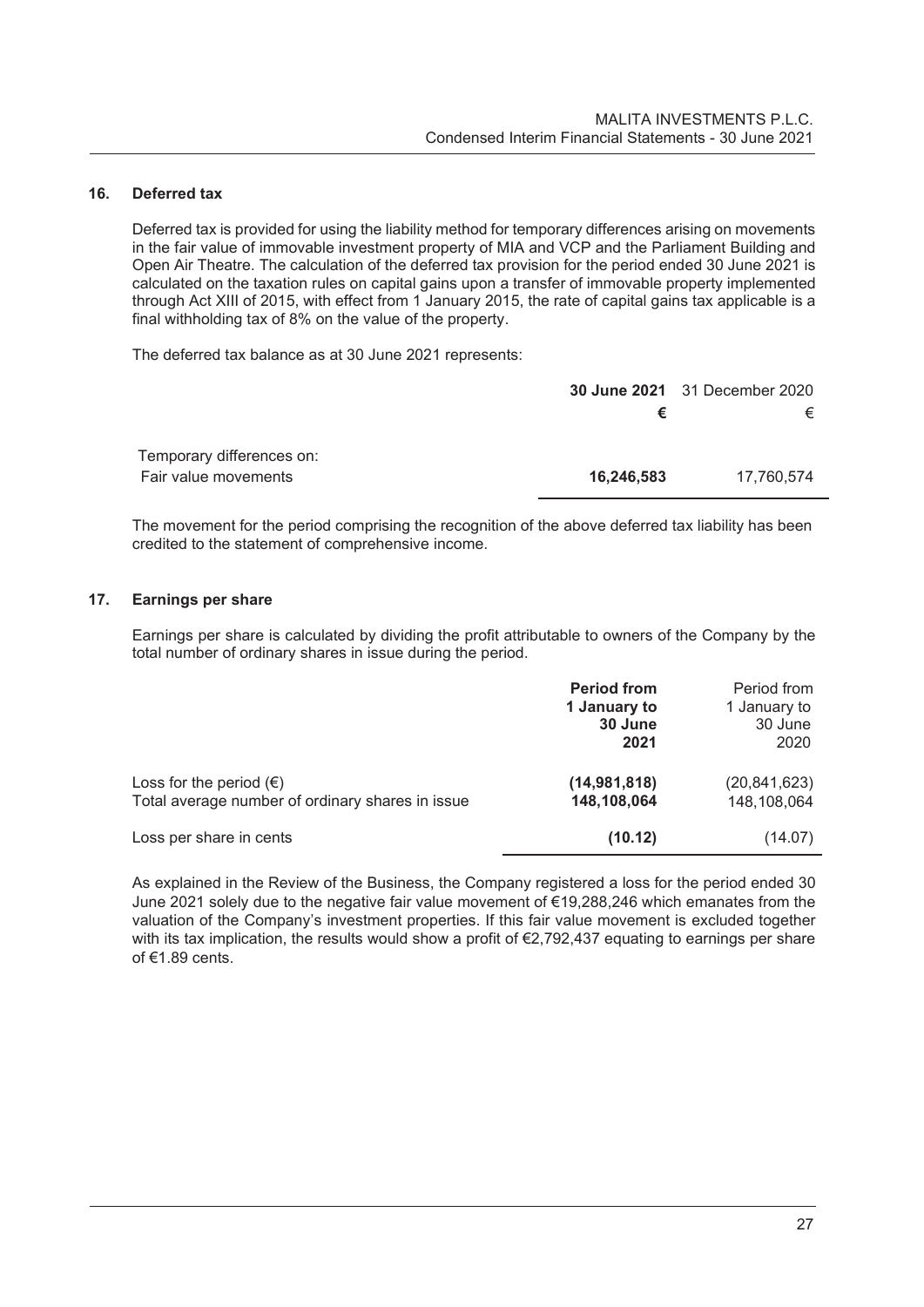# **16. Deferred tax**

Deferred tax is provided for using the liability method for temporary differences arising on movements in the fair value of immovable investment property of MIA and VCP and the Parliament Building and Open Air Theatre. The calculation of the deferred tax provision for the period ended 30 June 2021 is calculated on the taxation rules on capital gains upon a transfer of immovable property implemented through Act XIII of 2015, with effect from 1 January 2015, the rate of capital gains tax applicable is a final withholding tax of 8% on the value of the property.

The deferred tax balance as at 30 June 2021 represents:

|                                                   |            | <b>30 June 2021</b> 31 December 2020 |  |
|---------------------------------------------------|------------|--------------------------------------|--|
|                                                   |            | €                                    |  |
| Temporary differences on:<br>Fair value movements | 16,246,583 | 17.760.574                           |  |

The movement for the period comprising the recognition of the above deferred tax liability has been credited to the statement of comprehensive income.

# **17. Earnings per share**

Earnings per share is calculated by dividing the profit attributable to owners of the Company by the total number of ordinary shares in issue during the period.

|                                                                                      | <b>Period from</b><br>1 January to<br>30 June<br>2021 | Period from<br>1 January to<br>30 June<br>2020 |
|--------------------------------------------------------------------------------------|-------------------------------------------------------|------------------------------------------------|
| Loss for the period $(\epsilon)$<br>Total average number of ordinary shares in issue | (14, 981, 818)<br>148,108,064                         | (20, 841, 623)<br>148,108,064                  |
| Loss per share in cents                                                              | (10.12)                                               | (14.07)                                        |

As explained in the Review of the Business, the Company registered a loss for the period ended 30 June 2021 solely due to the negative fair value movement of €19,288,246 which emanates from the valuation of the Company's investment properties. If this fair value movement is excluded together with its tax implication, the results would show a profit of €2,792,437 equating to earnings per share of €1.89 cents.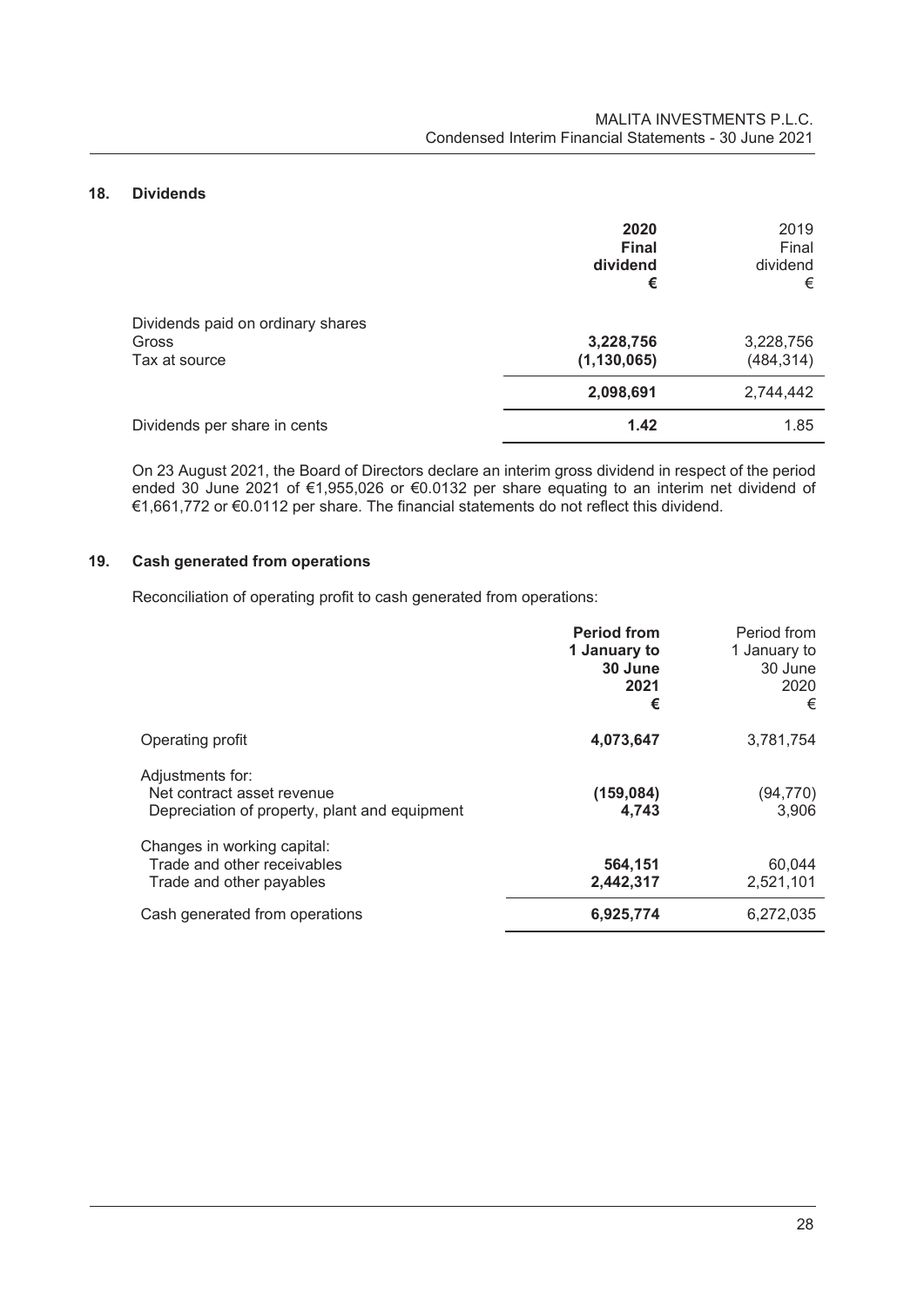# **18. Dividends**

|                                                                    | 2020<br><b>Final</b><br>dividend<br>€ | 2019<br>Final<br>dividend<br>€ |
|--------------------------------------------------------------------|---------------------------------------|--------------------------------|
| Dividends paid on ordinary shares<br><b>Gross</b><br>Tax at source | 3,228,756<br>(1, 130, 065)            | 3,228,756<br>(484, 314)        |
|                                                                    | 2,098,691                             | 2,744,442                      |
| Dividends per share in cents                                       | 1.42                                  | 1.85                           |

On 23 August 2021, the Board of Directors declare an interim gross dividend in respect of the period ended 30 June 2021 of €1,955,026 or €0.0132 per share equating to an interim net dividend of €1,661,772 or €0.0112 per share. The financial statements do not reflect this dividend.

# **19. Cash generated from operations**

Reconciliation of operating profit to cash generated from operations:

|                                                                                                 | <b>Period from</b><br>1 January to<br>30 June<br>2021<br>€ | Period from<br>1 January to<br>30 June<br>2020<br>€ |
|-------------------------------------------------------------------------------------------------|------------------------------------------------------------|-----------------------------------------------------|
| Operating profit                                                                                | 4,073,647                                                  | 3,781,754                                           |
| Adjustments for:<br>Net contract asset revenue<br>Depreciation of property, plant and equipment | (159, 084)<br>4,743                                        | (94,770)<br>3,906                                   |
| Changes in working capital:<br>Trade and other receivables<br>Trade and other payables          | 564,151<br>2,442,317                                       | 60,044<br>2,521,101                                 |
| Cash generated from operations                                                                  | 6,925,774                                                  | 6,272,035                                           |